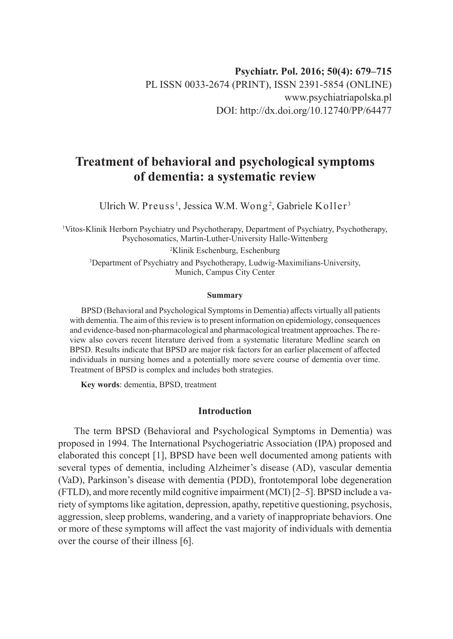# **Treatment of behavioral and psychological symptoms of dementia: a systematic review**

Ulrich W. Preuss $^{\rm l}$ , Jessica W.M. Wong $^{\rm 2}$ , Gabriele Koller $^{\rm 3}$ 

1 Vitos-Klinik Herborn Psychiatry und Psychotherapy, Department of Psychiatry, Psychotherapy, Psychosomatics, Martin-Luther-University Halle-Wittenberg 2 Klinik Eschenburg, Eschenburg 3 Department of Psychiatry and Psychotherapy, Ludwig-Maximilians-University, Munich, Campus City Center

#### **Summary**

BPSD (Behavioral and Psychological Symptoms in Dementia) affects virtually all patients with dementia. The aim of this review is to present information on epidemiology, consequences and evidence-based non-pharmacological and pharmacological treatment approaches. The review also covers recent literature derived from a systematic literature Medline search on BPSD. Results indicate that BPSD are major risk factors for an earlier placement of affected individuals in nursing homes and a potentially more severe course of dementia over time. Treatment of BPSD is complex and includes both strategies.

**Key words**: dementia, BPSD, treatment

## **Introduction**

The term BPSD (Behavioral and Psychological Symptoms in Dementia) was proposed in 1994. The International Psychogeriatric Association (IPA) proposed and elaborated this concept [1], BPSD have been well documented among patients with several types of dementia, including Alzheimer's disease (AD), vascular dementia (VaD), Parkinson's disease with dementia (PDD), frontotemporal lobe degeneration (FTLD), and more recently mild cognitive impairment (MCI) [2–5]. BPSD include a variety of symptoms like agitation, depression, apathy, repetitive questioning, psychosis, aggression, sleep problems, wandering, and a variety of inappropriate behaviors. One or more of these symptoms will affect the vast majority of individuals with dementia over the course of their illness [6].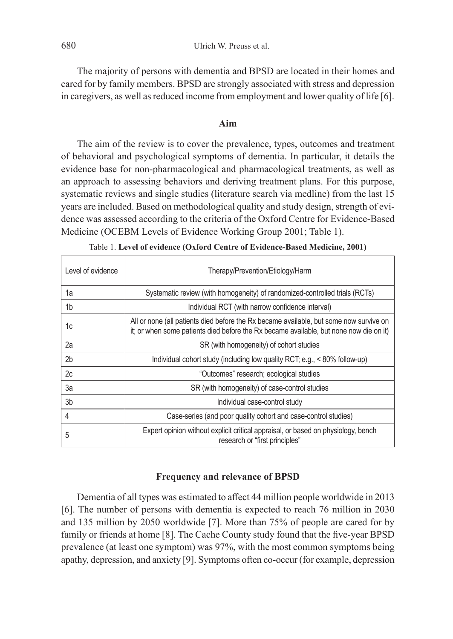The majority of persons with dementia and BPSD are located in their homes and cared for by family members. BPSD are strongly associated with stress and depression in caregivers, as well as reduced income from employment and lower quality of life [6].

## **Aim**

The aim of the review is to cover the prevalence, types, outcomes and treatment of behavioral and psychological symptoms of dementia. In particular, it details the evidence base for non-pharmacological and pharmacological treatments, as well as an approach to assessing behaviors and deriving treatment plans. For this purpose, systematic reviews and single studies (literature search via medline) from the last 15 years are included. Based on methodological quality and study design, strength of evidence was assessed according to the criteria of the Oxford Centre for Evidence-Based Medicine (OCEBM Levels of Evidence Working Group 2001; Table 1).

| Level of evidence | Therapy/Prevention/Etiology/Harm                                                                                                                                                 |
|-------------------|----------------------------------------------------------------------------------------------------------------------------------------------------------------------------------|
| 1a                | Systematic review (with homogeneity) of randomized-controlled trials (RCTs)                                                                                                      |
| 1b                | Individual RCT (with narrow confidence interval)                                                                                                                                 |
| 1c                | All or none (all patients died before the Rx became available, but some now survive on<br>it; or when some patients died before the Rx became available, but none now die on it) |
| 2a                | SR (with homogeneity) of cohort studies                                                                                                                                          |
| 2 <sub>b</sub>    | Individual cohort study (including low quality RCT; e.g., $\lt$ 80% follow-up)                                                                                                   |
| 2c                | "Outcomes" research: ecological studies                                                                                                                                          |
| За                | SR (with homogeneity) of case-control studies                                                                                                                                    |
| 3b                | Individual case-control study                                                                                                                                                    |
| 4                 | Case-series (and poor quality cohort and case-control studies)                                                                                                                   |
| 5                 | Expert opinion without explicit critical appraisal, or based on physiology, bench<br>research or "first principles"                                                              |

Table 1. **Level of evidence (Oxford Centre of Evidence-Based Medicine, 2001)**

## **Frequency and relevance of BPSD**

Dementia of all types was estimated to affect 44 million people worldwide in 2013 [6]. The number of persons with dementia is expected to reach 76 million in 2030 and 135 million by 2050 worldwide [7]. More than 75% of people are cared for by family or friends at home [8]. The Cache County study found that the five-year BPSD prevalence (at least one symptom) was 97%, with the most common symptoms being apathy, depression, and anxiety [9]. Symptoms often co-occur (for example, depression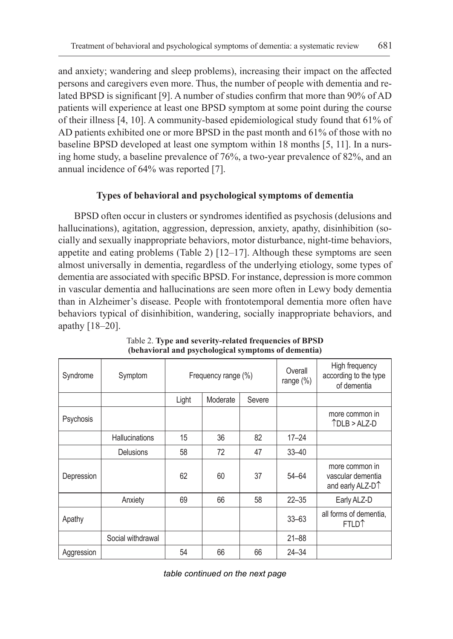and anxiety; wandering and sleep problems), increasing their impact on the affected persons and caregivers even more. Thus, the number of people with dementia and related BPSD is significant [9]. A number of studies confirm that more than 90% of AD patients will experience at least one BPSD symptom at some point during the course of their illness [4, 10]. A community-based epidemiological study found that 61% of AD patients exhibited one or more BPSD in the past month and 61% of those with no baseline BPSD developed at least one symptom within 18 months [5, 11]. In a nursing home study, a baseline prevalence of 76%, a two-year prevalence of 82%, and an annual incidence of 64% was reported [7].

# **Types of behavioral and psychological symptoms of dementia**

BPSD often occur in clusters or syndromes identified as psychosis (delusions and hallucinations), agitation, aggression, depression, anxiety, apathy, disinhibition (socially and sexually inappropriate behaviors, motor disturbance, night-time behaviors, appetite and eating problems (Table 2)  $[12-17]$ . Although these symptoms are seen almost universally in dementia, regardless of the underlying etiology, some types of dementia are associated with specific BPSD. For instance, depression is more common in vascular dementia and hallucinations are seen more often in Lewy body dementia than in Alzheimer's disease. People with frontotemporal dementia more often have behaviors typical of disinhibition, wandering, socially inappropriate behaviors, and apathy [18–20].

| Syndrome          | Symptom               | Frequency range (%) |          |        | Overall<br>range (%) | High frequency<br>according to the type<br>of dementia              |
|-------------------|-----------------------|---------------------|----------|--------|----------------------|---------------------------------------------------------------------|
|                   |                       | Light               | Moderate | Severe |                      |                                                                     |
| Psychosis         |                       |                     |          |        |                      | more common in<br>$TDLB > ALZ-D$                                    |
|                   | <b>Hallucinations</b> | 15                  | 36       | 82     | $17 - 24$            |                                                                     |
|                   | <b>Delusions</b>      | 58                  | 72       | 47     | $33 - 40$            |                                                                     |
| Depression        |                       | 62                  | 60       | 37     | $54 - 64$            | more common in<br>vascular dementia<br>and early ALZ-D <sup>1</sup> |
|                   | Anxiety               | 69                  | 66       | 58     | $22 - 35$            | Early ALZ-D                                                         |
| Apathy            |                       |                     |          |        | $33 - 63$            | all forms of dementia.<br><b>FTLD</b> <sup>1</sup>                  |
| Social withdrawal |                       |                     |          |        | $21 - 88$            |                                                                     |
| Aggression        |                       | 54                  | 66       | 66     | $24 - 34$            |                                                                     |

Table 2. **Type and severity-related frequencies of BPSD (behavioral and psychological symptoms of dementia)**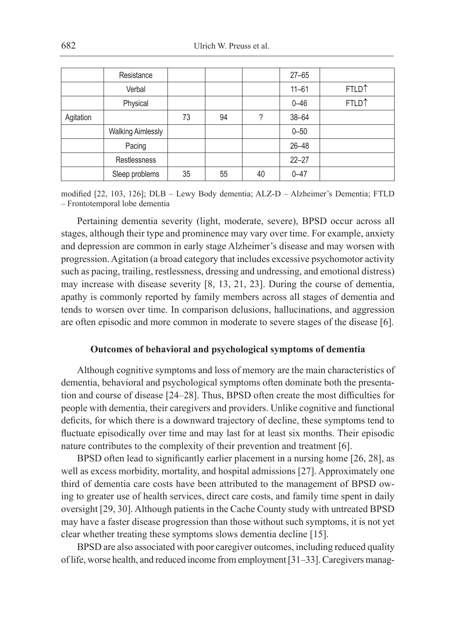|           | Resistance               |    |    |    | $27 - 65$ |                   |
|-----------|--------------------------|----|----|----|-----------|-------------------|
|           | Verbal                   |    |    |    | $11 - 61$ | FTLD <sup>1</sup> |
|           | Physical                 |    |    |    | $0 - 46$  | FTLD <sup>↑</sup> |
| Agitation |                          | 73 | 94 | 2  | $38 - 64$ |                   |
|           | <b>Walking Aimlessly</b> |    |    |    | $0 - 50$  |                   |
|           | Pacing                   |    |    |    | $26 - 48$ |                   |
|           | Restlessness             |    |    |    | $22 - 27$ |                   |
|           | Sleep problems           | 35 | 55 | 40 | $0 - 47$  |                   |

modified [22, 103, 126]; DLB – Lewy Body dementia; ALZ-D – Alzheimer's Dementia; FTLD – Frontotemporal lobe dementia

Pertaining dementia severity (light, moderate, severe), BPSD occur across all stages, although their type and prominence may vary over time. For example, anxiety and depression are common in early stage Alzheimer's disease and may worsen with progression. Agitation (a broad category that includes excessive psychomotor activity such as pacing, trailing, restlessness, dressing and undressing, and emotional distress) may increase with disease severity [8, 13, 21, 23]. During the course of dementia, apathy is commonly reported by family members across all stages of dementia and tends to worsen over time. In comparison delusions, hallucinations, and aggression are often episodic and more common in moderate to severe stages of the disease [6].

#### **Outcomes of behavioral and psychological symptoms of dementia**

Although cognitive symptoms and loss of memory are the main characteristics of dementia, behavioral and psychological symptoms often dominate both the presentation and course of disease [24–28]. Thus, BPSD often create the most difficulties for people with dementia, their caregivers and providers. Unlike cognitive and functional deficits, for which there is a downward trajectory of decline, these symptoms tend to fluctuate episodically over time and may last for at least six months. Their episodic nature contributes to the complexity of their prevention and treatment [6].

BPSD often lead to significantly earlier placement in a nursing home [26, 28], as well as excess morbidity, mortality, and hospital admissions [27]. Approximately one third of dementia care costs have been attributed to the management of BPSD owing to greater use of health services, direct care costs, and family time spent in daily oversight [29, 30]. Although patients in the Cache County study with untreated BPSD may have a faster disease progression than those without such symptoms, it is not yet clear whether treating these symptoms slows dementia decline [15].

BPSD are also associated with poor caregiver outcomes, including reduced quality of life, worse health, and reduced income from employment [31–33]. Caregivers manag-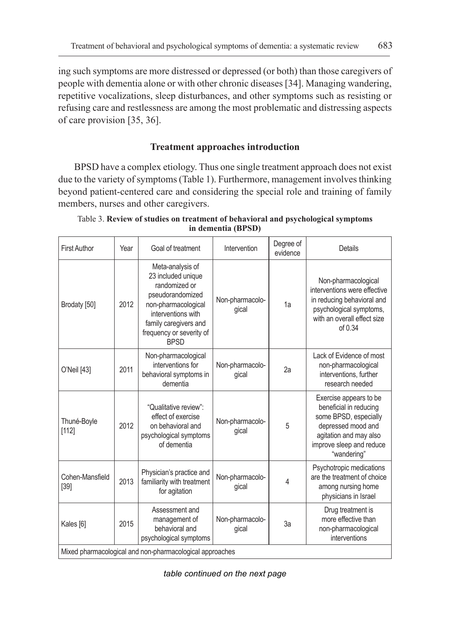ing such symptoms are more distressed or depressed (or both) than those caregivers of people with dementia alone or with other chronic diseases [34]. Managing wandering, repetitive vocalizations, sleep disturbances, and other symptoms such as resisting or refusing care and restlessness are among the most problematic and distressing aspects of care provision [35, 36].

# **Treatment approaches introduction**

BPSD have a complex etiology. Thus one single treatment approach does not exist due to the variety of symptoms (Table 1). Furthermore, management involves thinking beyond patient-centered care and considering the special role and training of family members, nurses and other caregivers.

| <b>First Author</b>       | Year                                                     | Goal of treatment                                                                                                                                                                            | Intervention             | Degree of<br>evidence | <b>Details</b>                                                                                                                                                       |  |  |  |
|---------------------------|----------------------------------------------------------|----------------------------------------------------------------------------------------------------------------------------------------------------------------------------------------------|--------------------------|-----------------------|----------------------------------------------------------------------------------------------------------------------------------------------------------------------|--|--|--|
| Brodaty [50]              | 2012                                                     | Meta-analysis of<br>23 included unique<br>randomized or<br>pseudorandomized<br>non-pharmacological<br>interventions with<br>family caregivers and<br>frequency or severity of<br><b>BPSD</b> | Non-pharmacolo-<br>gical | 1a                    | Non-pharmacological<br>interventions were effective<br>in reducing behavioral and<br>psychological symptoms,<br>with an overall effect size<br>of 0.34               |  |  |  |
| O'Neil [43]               | 2011                                                     | Non-pharmacological<br>interventions for<br>behavioral symptoms in<br>dementia                                                                                                               | Non-pharmacolo-<br>gical | 2a                    | Lack of Evidence of most<br>non-pharmacological<br>interventions, further<br>research needed                                                                         |  |  |  |
| Thuné-Boyle<br>[112]      | 2012                                                     | "Qualitative review":<br>effect of exercise<br>on behavioral and<br>psychological symptoms<br>of dementia                                                                                    | Non-pharmacolo-<br>gical | 5                     | Exercise appears to be<br>beneficial in reducing<br>some BPSD, especially<br>depressed mood and<br>agitation and may also<br>improve sleep and reduce<br>"wandering" |  |  |  |
| Cohen-Mansfield<br>$[39]$ | 2013                                                     | Physician's practice and<br>familiarity with treatment<br>for agitation                                                                                                                      | Non-pharmacolo-<br>gical | 4                     | Psychotropic medications<br>are the treatment of choice<br>among nursing home<br>physicians in Israel                                                                |  |  |  |
| Kales [6]                 | 2015                                                     | Assessment and<br>management of<br>behavioral and<br>psychological symptoms                                                                                                                  | Non-pharmacolo-<br>gical | 3a                    | Drug treatment is<br>more effective than<br>non-pharmacological<br>interventions                                                                                     |  |  |  |
|                           | Mixed pharmacological and non-pharmacological approaches |                                                                                                                                                                                              |                          |                       |                                                                                                                                                                      |  |  |  |

Table 3. **Review of studies on treatment of behavioral and psychological symptoms in dementia (BPSD)**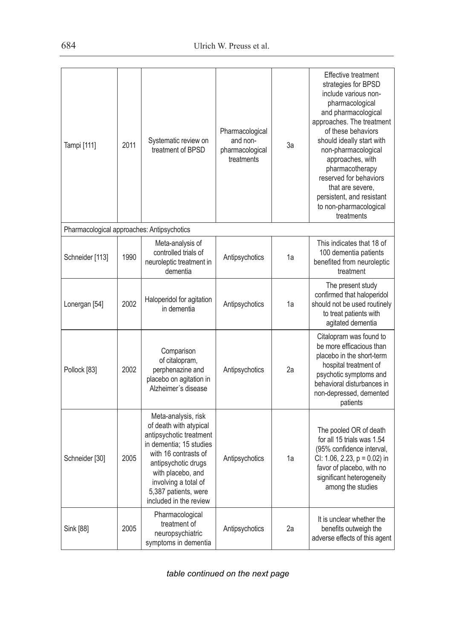| Tampi [111]                                | 2011 | Systematic review on<br>treatment of BPSD                                                                                                                                                                                                         | Pharmacological<br>and non-<br>pharmacological<br>treatments | За | <b>Effective treatment</b><br>strategies for BPSD<br>include various non-<br>pharmacological<br>and pharmacological<br>approaches. The treatment<br>of these behaviors<br>should ideally start with<br>non-pharmacological<br>approaches, with<br>pharmacotherapy<br>reserved for behaviors<br>that are severe.<br>persistent, and resistant<br>to non-pharmacological<br>treatments |
|--------------------------------------------|------|---------------------------------------------------------------------------------------------------------------------------------------------------------------------------------------------------------------------------------------------------|--------------------------------------------------------------|----|--------------------------------------------------------------------------------------------------------------------------------------------------------------------------------------------------------------------------------------------------------------------------------------------------------------------------------------------------------------------------------------|
| Pharmacological approaches: Antipsychotics |      |                                                                                                                                                                                                                                                   |                                                              |    |                                                                                                                                                                                                                                                                                                                                                                                      |
| Schneider [113]                            | 1990 | Meta-analysis of<br>controlled trials of<br>neuroleptic treatment in<br>dementia                                                                                                                                                                  | Antipsychotics                                               | 1a | This indicates that 18 of<br>100 dementia patients<br>benefited from neuroleptic<br>treatment                                                                                                                                                                                                                                                                                        |
| Lonergan [54]                              | 2002 | Haloperidol for agitation<br>in dementia                                                                                                                                                                                                          | Antipsychotics                                               | 1a | The present study<br>confirmed that haloperidol<br>should not be used routinely<br>to treat patients with<br>agitated dementia                                                                                                                                                                                                                                                       |
| Pollock [83]                               | 2002 | Comparison<br>of citalopram,<br>perphenazine and<br>placebo on agitation in<br>Alzheimer's disease                                                                                                                                                | Antipsychotics                                               | 2a | Citalopram was found to<br>be more efficacious than<br>placebo in the short-term<br>hospital treatment of<br>psychotic symptoms and<br>behavioral disturbances in<br>non-depressed, demented<br>patients                                                                                                                                                                             |
| Schneider [30]                             | 2005 | Meta-analysis, risk<br>of death with atypical<br>antipsychotic treatment<br>in dementia: 15 studies<br>with 16 contrasts of<br>antipsychotic drugs<br>with placebo, and<br>involving a total of<br>5,387 patients, were<br>included in the review | Antipsychotics                                               | 1a | The pooled OR of death<br>for all 15 trials was 1.54<br>(95% confidence interval,<br>CI: 1.06, 2.23, $p = 0.02$ ) in<br>favor of placebo, with no<br>significant heterogeneity<br>among the studies                                                                                                                                                                                  |
| Sink [88]                                  | 2005 | Pharmacological<br>treatment of<br>neuropsychiatric<br>symptoms in dementia                                                                                                                                                                       | Antipsychotics                                               | 2a | It is unclear whether the<br>benefits outweigh the<br>adverse effects of this agent                                                                                                                                                                                                                                                                                                  |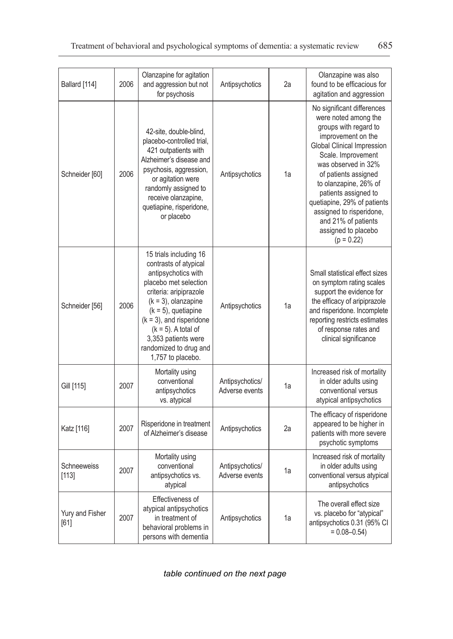| Ballard [114]           | 2006 | Olanzapine for agitation<br>and aggression but not<br>for psychosis                                                                                                                                                                                                                                          | Antipsychotics                    | 2a | Olanzapine was also<br>found to be efficacious for<br>agitation and aggression                                                                                                                                                                                                                                                                                                        |
|-------------------------|------|--------------------------------------------------------------------------------------------------------------------------------------------------------------------------------------------------------------------------------------------------------------------------------------------------------------|-----------------------------------|----|---------------------------------------------------------------------------------------------------------------------------------------------------------------------------------------------------------------------------------------------------------------------------------------------------------------------------------------------------------------------------------------|
| Schneider [60]          | 2006 | 42-site, double-blind,<br>placebo-controlled trial,<br>421 outpatients with<br>Alzheimer's disease and<br>psychosis, aggression,<br>or agitation were<br>randomly assigned to<br>receive olanzapine,<br>quetiapine, risperidone,<br>or placebo                                                               | Antipsychotics                    | 1a | No significant differences<br>were noted among the<br>groups with regard to<br>improvement on the<br><b>Global Clinical Impression</b><br>Scale. Improvement<br>was observed in 32%<br>of patients assigned<br>to olanzapine, 26% of<br>patients assigned to<br>quetiapine, 29% of patients<br>assigned to risperidone,<br>and 21% of patients<br>assigned to placebo<br>$(p = 0.22)$ |
| Schneider [56]          | 2006 | 15 trials including 16<br>contrasts of atypical<br>antipsychotics with<br>placebo met selection<br>criteria: aripiprazole<br>$(k = 3)$ , olanzapine<br>$(k = 5)$ , quetiapine<br>$(k = 3)$ , and risperidone<br>$(k = 5)$ . A total of<br>3,353 patients were<br>randomized to drug and<br>1,757 to placebo. | Antipsychotics                    | 1a | Small statistical effect sizes<br>on symptom rating scales<br>support the evidence for<br>the efficacy of aripiprazole<br>and risperidone. Incomplete<br>reporting restricts estimates<br>of response rates and<br>clinical significance                                                                                                                                              |
| Gill [115]              | 2007 | Mortality using<br>conventional<br>antipsychotics<br>vs. atypical                                                                                                                                                                                                                                            | Antipsychotics/<br>Adverse events | 1a | Increased risk of mortality<br>in older adults using<br>conventional versus<br>atypical antipsychotics                                                                                                                                                                                                                                                                                |
| Katz [116]              | 2007 | Risperidone in treatment<br>of Alzheimer's disease                                                                                                                                                                                                                                                           | Antipsychotics                    | 2a | The efficacy of risperidone<br>appeared to be higher in<br>patients with more severe<br>psychotic symptoms                                                                                                                                                                                                                                                                            |
| Schneeweiss<br>[113]    | 2007 | Mortality using<br>conventional<br>antipsychotics vs.<br>atypical                                                                                                                                                                                                                                            | Antipsychotics/<br>Adverse events | 1a | Increased risk of mortality<br>in older adults using<br>conventional versus atypical<br>antipsychotics                                                                                                                                                                                                                                                                                |
| Yury and Fisher<br>[61] | 2007 | Effectiveness of<br>atypical antipsychotics<br>in treatment of<br>behavioral problems in<br>persons with dementia                                                                                                                                                                                            | Antipsychotics                    | 1a | The overall effect size<br>vs. placebo for "atypical"<br>antipsychotics 0.31 (95% CI<br>$= 0.08 - 0.54$                                                                                                                                                                                                                                                                               |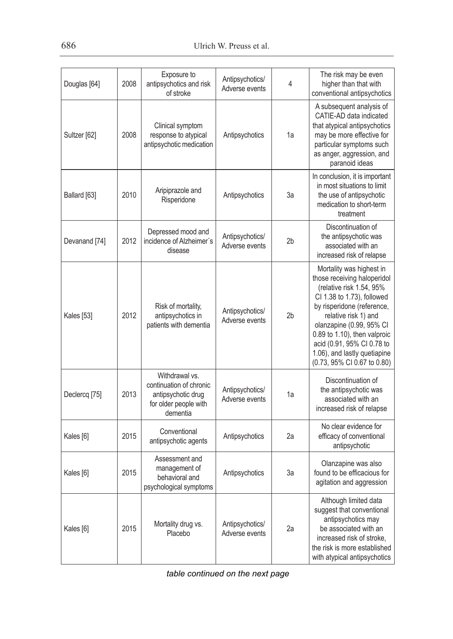| Douglas [64]         | 2008 | Exposure to<br>antipsychotics and risk<br>of stroke                                                  | Antipsychotics/<br>Adverse events | 4              | The risk may be even<br>higher than that with<br>conventional antipsychotics                                                                                                                                                                                                                                                     |
|----------------------|------|------------------------------------------------------------------------------------------------------|-----------------------------------|----------------|----------------------------------------------------------------------------------------------------------------------------------------------------------------------------------------------------------------------------------------------------------------------------------------------------------------------------------|
| Sultzer [62]         | 2008 | Clinical symptom<br>response to atypical<br>antipsychotic medication                                 | Antipsychotics                    | 1a             | A subsequent analysis of<br>CATIE-AD data indicated<br>that atypical antipsychotics<br>may be more effective for<br>particular symptoms such<br>as anger, aggression, and<br>paranoid ideas                                                                                                                                      |
| Ballard [63]         | 2010 | Aripiprazole and<br>Risperidone                                                                      | Antipsychotics                    | За             | In conclusion, it is important<br>in most situations to limit<br>the use of antipsychotic<br>medication to short-term<br>treatment                                                                                                                                                                                               |
| Devanand [74]        | 2012 | Depressed mood and<br>incidence of Alzheimer's<br>disease                                            | Antipsychotics/<br>Adverse events | 2 <sub>b</sub> | Discontinuation of<br>the antipsychotic was<br>associated with an<br>increased risk of relapse                                                                                                                                                                                                                                   |
| Kales [53]           | 2012 | Risk of mortality,<br>antipsychotics in<br>patients with dementia                                    | Antipsychotics/<br>Adverse events | 2 <sub>b</sub> | Mortality was highest in<br>those receiving haloperidol<br>(relative risk 1.54, 95%<br>CI 1.38 to 1.73), followed<br>by risperidone (reference,<br>relative risk 1) and<br>olanzapine (0.99, 95% CI<br>0.89 to 1.10), then valproic<br>acid (0.91, 95% CI 0.78 to<br>1.06), and lastly quetiapine<br>(0.73, 95% CI 0.67 to 0.80) |
| Declercq [75]        | 2013 | Withdrawal vs.<br>continuation of chronic<br>antipsychotic drug<br>for older people with<br>dementia | Antipsychotics/<br>Adverse events | 1a             | Discontinuation of<br>the antipsychotic was<br>associated with an<br>increased risk of relapse                                                                                                                                                                                                                                   |
| Kales [6]            | 2015 | Conventional<br>antipsychotic agents                                                                 | Antipsychotics                    | 2a             | No clear evidence for<br>efficacy of conventional<br>antipsychotic                                                                                                                                                                                                                                                               |
| Kales <sup>[6]</sup> | 2015 | Assessment and<br>management of<br>behavioral and<br>psychological symptoms                          | Antipsychotics                    | За             | Olanzapine was also<br>found to be efficacious for<br>agitation and aggression                                                                                                                                                                                                                                                   |
| Kales [6]            | 2015 | Mortality drug vs.<br>Placebo                                                                        | Antipsychotics/<br>Adverse events | 2a             | Although limited data<br>suggest that conventional<br>antipsychotics may<br>be associated with an<br>increased risk of stroke.<br>the risk is more established<br>with atypical antipsychotics                                                                                                                                   |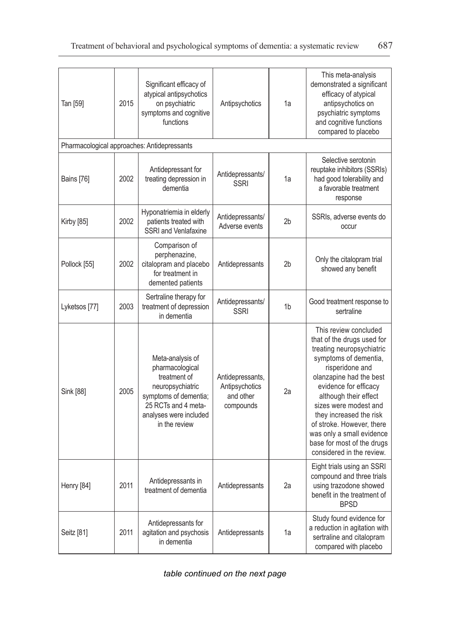| Tan [59]      | 2015 | Significant efficacy of<br>atypical antipsychotics<br>on psychiatric<br>symptoms and cognitive<br>functions                                                        | Antipsychotics                                               | 1a             | This meta-analysis<br>demonstrated a significant<br>efficacy of atypical<br>antipsychotics on<br>psychiatric symptoms<br>and cognitive functions<br>compared to placebo                                                                                                                                                                                                            |
|---------------|------|--------------------------------------------------------------------------------------------------------------------------------------------------------------------|--------------------------------------------------------------|----------------|------------------------------------------------------------------------------------------------------------------------------------------------------------------------------------------------------------------------------------------------------------------------------------------------------------------------------------------------------------------------------------|
|               |      | Pharmacological approaches: Antidepressants                                                                                                                        |                                                              |                |                                                                                                                                                                                                                                                                                                                                                                                    |
| Bains [76]    | 2002 | Antidepressant for<br>treating depression in<br>dementia                                                                                                           | Antidepressants/<br><b>SSRI</b>                              | 1a             | Selective serotonin<br>reuptake inhibitors (SSRIs)<br>had good tolerability and<br>a favorable treatment<br>response                                                                                                                                                                                                                                                               |
| Kirby [85]    | 2002 | Hyponatriemia in elderly<br>patients treated with<br>SSRI and Venlafaxine                                                                                          | Antidepressants/<br>Adverse events                           | 2 <sub>b</sub> | SSRIs, adverse events do<br>occur                                                                                                                                                                                                                                                                                                                                                  |
| Pollock [55]  | 2002 | Comparison of<br>perphenazine,<br>citalopram and placebo<br>for treatment in<br>demented patients                                                                  | Antidepressants                                              | 2 <sub>b</sub> | Only the citalopram trial<br>showed any benefit                                                                                                                                                                                                                                                                                                                                    |
| Lyketsos [77] | 2003 | Sertraline therapy for<br>treatment of depression<br>in dementia                                                                                                   | Antidepressants/<br><b>SSRI</b>                              | 1 <sub>b</sub> | Good treatment response to<br>sertraline                                                                                                                                                                                                                                                                                                                                           |
| Sink [88]     | 2005 | Meta-analysis of<br>pharmacological<br>treatment of<br>neuropsychiatric<br>symptoms of dementia;<br>25 RCTs and 4 meta-<br>analyses were included<br>in the review | Antidepressants,<br>Antipsychotics<br>and other<br>compounds | 2a             | This review concluded<br>that of the drugs used for<br>treating neuropsychiatric<br>symptoms of dementia,<br>risperidone and<br>olanzapine had the best<br>evidence for efficacy<br>although their effect<br>sizes were modest and<br>they increased the risk<br>of stroke. However, there<br>was only a small evidence<br>base for most of the drugs<br>considered in the review. |
| Henry [84]    | 2011 | Antidepressants in<br>treatment of dementia                                                                                                                        | Antidepressants                                              | 2a             | Eight trials using an SSRI<br>compound and three trials<br>using trazodone showed<br>benefit in the treatment of<br><b>BPSD</b>                                                                                                                                                                                                                                                    |
| Seitz [81]    | 2011 | Antidepressants for<br>agitation and psychosis<br>in dementia                                                                                                      | Antidepressants                                              | 1a             | Study found evidence for<br>a reduction in agitation with<br>sertraline and citalopram<br>compared with placebo                                                                                                                                                                                                                                                                    |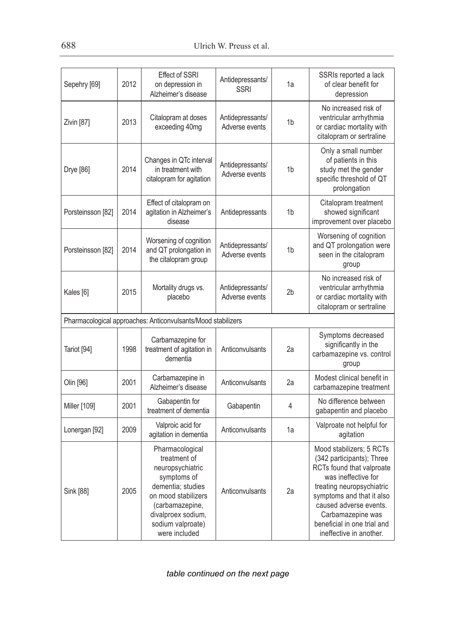| Sepehry [69]      | 2012 | <b>Effect of SSRI</b><br>on depression in<br>Alzheimer's disease                                                                                                                              | Antidepressants/<br><b>SSRI</b>    | 1a             | SSRIs reported a lack<br>of clear benefit for<br>depression                                                                                                                                                                                                                  |
|-------------------|------|-----------------------------------------------------------------------------------------------------------------------------------------------------------------------------------------------|------------------------------------|----------------|------------------------------------------------------------------------------------------------------------------------------------------------------------------------------------------------------------------------------------------------------------------------------|
| Zivin [87]        | 2013 | Citalopram at doses<br>exceeding 40mg                                                                                                                                                         | Antidepressants/<br>Adverse events | 1 <sub>b</sub> | No increased risk of<br>ventricular arrhythmia<br>or cardiac mortality with<br>citalopram or sertraline                                                                                                                                                                      |
| Drye [86]         | 2014 | Changes in QTc interval<br>in treatment with<br>citalopram for agitation                                                                                                                      | Antidepressants/<br>Adverse events | 1 <sub>b</sub> | Only a small number<br>of patients in this<br>study met the gender<br>specific threshold of QT<br>prolongation                                                                                                                                                               |
| Porsteinsson [82] | 2014 | Effect of citalopram on<br>agitation in Alzheimer's<br>disease                                                                                                                                | Antidepressants                    | 1 <sub>b</sub> | Citalopram treatment<br>showed significant<br>improvement over placebo                                                                                                                                                                                                       |
| Porsteinsson [82] | 2014 | Worsening of cognition<br>and QT prolongation in<br>the citalopram group                                                                                                                      | Antidepressants/<br>Adverse events | 1 <sub>b</sub> | Worsening of cognition<br>and QT prolongation were<br>seen in the citalopram<br>group                                                                                                                                                                                        |
| Kales [6]         | 2015 | Mortality drugs vs.<br>placebo                                                                                                                                                                | Antidepressants/<br>Adverse events | 2 <sub>b</sub> | No increased risk of<br>ventricular arrhythmia<br>or cardiac mortality with<br>citalopram or sertraline                                                                                                                                                                      |
|                   |      | Pharmacological approaches: Anticonvulsants/Mood stabilizers                                                                                                                                  |                                    |                |                                                                                                                                                                                                                                                                              |
| Tariot [94]       | 1998 | Carbamazepine for<br>treatment of agitation in<br>dementia                                                                                                                                    | Anticonvulsants                    | 2a             | Symptoms decreased<br>significantly in the<br>carbamazepine vs. control<br>group                                                                                                                                                                                             |
| Olin [96]         | 2001 | Carbamazepine in<br>Alzheimer's disease                                                                                                                                                       | Anticonvulsants                    | 2a             | Modest clinical benefit in<br>carbamazepine treatment                                                                                                                                                                                                                        |
| Miller [109]      | 2001 | Gabapentin for<br>treatment of dementia                                                                                                                                                       | Gabapentin                         | 4              | No difference between<br>gabapentin and placebo                                                                                                                                                                                                                              |
| Lonergan [92]     | 2009 | Valproic acid for<br>agitation in dementia                                                                                                                                                    | Anticonvulsants                    | 1a             | Valproate not helpful for<br>agitation                                                                                                                                                                                                                                       |
| Sink [88]         | 2005 | Pharmacological<br>treatment of<br>neuropsychiatric<br>symptoms of<br>dementia; studies<br>on mood stabilizers<br>(carbamazepine,<br>divalproex sodium,<br>sodium valproate)<br>were included | Anticonvulsants                    | 2a             | Mood stabilizers; 5 RCTs<br>(342 participants); Three<br>RCTs found that valproate<br>was ineffective for<br>treating neuropsychiatric<br>symptoms and that it also<br>caused adverse events.<br>Carbamazepine was<br>beneficial in one trial and<br>ineffective in another. |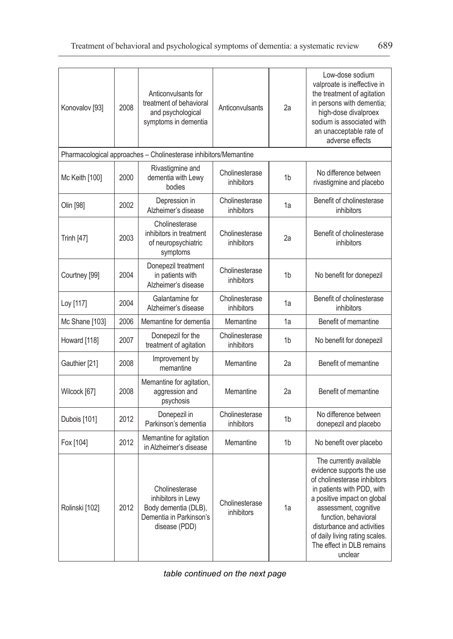| Konovalov [93] | 2008 | Anticonvulsants for<br>treatment of behavioral<br>and psychological<br>symptoms in dementia              | Anticonvulsants              | 2a             | Low-dose sodium<br>valproate is ineffective in<br>the treatment of agitation<br>in persons with dementia;<br>high-dose divalproex<br>sodium is associated with<br>an unacceptable rate of<br>adverse effects                                                                                               |
|----------------|------|----------------------------------------------------------------------------------------------------------|------------------------------|----------------|------------------------------------------------------------------------------------------------------------------------------------------------------------------------------------------------------------------------------------------------------------------------------------------------------------|
|                |      | Pharmacological approaches - Cholinesterase inhibitors/Memantine                                         |                              |                |                                                                                                                                                                                                                                                                                                            |
| Mc Keith [100] | 2000 | Rivastigmine and<br>dementia with Lewy<br>bodies                                                         | Cholinesterase<br>inhibitors | 1b             | No difference between<br>rivastigmine and placebo                                                                                                                                                                                                                                                          |
| Olin [98]      | 2002 | Depression in<br>Alzheimer's disease                                                                     | Cholinesterase<br>inhibitors | 1a             | Benefit of cholinesterase<br>inhibitors                                                                                                                                                                                                                                                                    |
| Trinh [47]     | 2003 | Cholinesterase<br>inhibitors in treatment<br>of neuropsychiatric<br>symptoms                             | Cholinesterase<br>inhibitors | 2a             | Benefit of cholinesterase<br>inhibitors                                                                                                                                                                                                                                                                    |
| Courtney [99]  | 2004 | Donepezil treatment<br>in patients with<br>Alzheimer's disease                                           | Cholinesterase<br>inhibitors | 1b             | No benefit for donepezil                                                                                                                                                                                                                                                                                   |
| Loy [117]      | 2004 | Galantamine for<br>Alzheimer's disease                                                                   | Cholinesterase<br>inhibitors | 1a             | Benefit of cholinesterase<br>inhibitors                                                                                                                                                                                                                                                                    |
| Mc Shane [103] | 2006 | Memantine for dementia                                                                                   | Memantine                    | 1a             | Benefit of memantine                                                                                                                                                                                                                                                                                       |
| Howard [118]   | 2007 | Donepezil for the<br>treatment of agitation                                                              | Cholinesterase<br>inhibitors | 1b             | No benefit for donepezil                                                                                                                                                                                                                                                                                   |
| Gauthier [21]  | 2008 | Improvement by<br>memantine                                                                              | Memantine                    | 2a             | Benefit of memantine                                                                                                                                                                                                                                                                                       |
| Wilcock [67]   | 2008 | Memantine for agitation,<br>aggression and<br>psychosis                                                  | Memantine                    | 2a             | Benefit of memantine                                                                                                                                                                                                                                                                                       |
| Dubois [101]   | 2012 | Donepezil in<br>Parkinson's dementia                                                                     | Cholinesterase<br>inhibitors | 1b             | No difference between<br>donepezil and placebo                                                                                                                                                                                                                                                             |
| Fox [104]      | 2012 | Memantine for agitation<br>in Alzheimer's disease                                                        | Memantine                    | 1 <sub>b</sub> | No benefit over placebo                                                                                                                                                                                                                                                                                    |
| Rolinski [102] | 2012 | Cholinesterase<br>inhibitors in Lewy<br>Body dementia (DLB),<br>Dementia in Parkinson's<br>disease (PDD) | Cholinesterase<br>inhibitors | 1a             | The currently available<br>evidence supports the use<br>of cholinesterase inhibitors<br>in patients with PDD, with<br>a positive impact on global<br>assessment, cognitive<br>function, behavioral<br>disturbance and activities<br>of daily living rating scales.<br>The effect in DLB remains<br>unclear |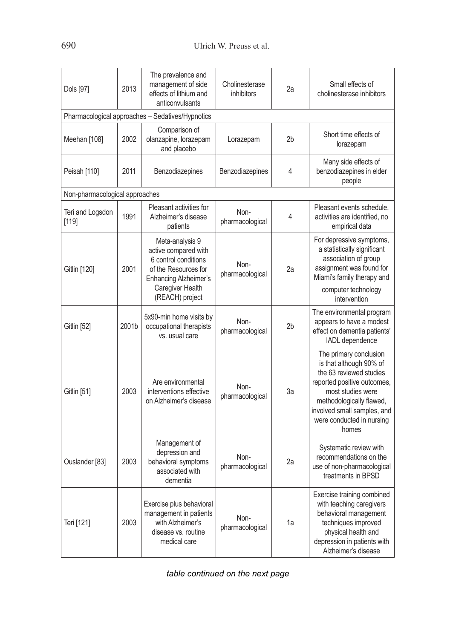| Dols [97]                      | 2013  | The prevalence and<br>management of side<br>effects of lithium and<br>anticonvulsants                                                                          | Cholinesterase<br>inhibitors | 2a             | Small effects of<br>cholinesterase inhibitors                                                                                                                                                                                     |
|--------------------------------|-------|----------------------------------------------------------------------------------------------------------------------------------------------------------------|------------------------------|----------------|-----------------------------------------------------------------------------------------------------------------------------------------------------------------------------------------------------------------------------------|
|                                |       | Pharmacological approaches - Sedatives/Hypnotics                                                                                                               |                              |                |                                                                                                                                                                                                                                   |
| Meehan [108]                   | 2002  | Comparison of<br>olanzapine, lorazepam<br>and placebo                                                                                                          | Lorazepam                    | 2b             | Short time effects of<br>lorazepam                                                                                                                                                                                                |
| Peisah [110]                   | 2011  | Benzodiazepines                                                                                                                                                | Benzodiazepines              | 4              | Many side effects of<br>benzodiazepines in elder<br>people                                                                                                                                                                        |
| Non-pharmacological approaches |       |                                                                                                                                                                |                              |                |                                                                                                                                                                                                                                   |
| Teri and Logsdon<br>[119]      | 1991  | Pleasant activities for<br>Alzheimer's disease<br>patients                                                                                                     | Non-<br>pharmacological      | 4              | Pleasant events schedule,<br>activities are identified, no<br>empirical data                                                                                                                                                      |
| Gitlin [120]                   | 2001  | Meta-analysis 9<br>active compared with<br>6 control conditions<br>of the Resources for<br><b>Enhancing Alzheimer's</b><br>Caregiver Health<br>(REACH) project | Non-<br>pharmacological      | 2a             | For depressive symptoms,<br>a statistically significant<br>association of group<br>assignment was found for<br>Miami's family therapy and<br>computer technology<br>intervention                                                  |
| Gitlin [52]                    | 2001b | 5x90-min home visits by<br>occupational therapists<br>vs. usual care                                                                                           | Non-<br>pharmacological      | 2 <sub>b</sub> | The environmental program<br>appears to have a modest<br>effect on dementia patients'<br>IADL dependence                                                                                                                          |
| Gitlin [51]                    | 2003  | Are environmental<br>interventions effective<br>on Alzheimer's disease                                                                                         | Non-<br>pharmacological      | За             | The primary conclusion<br>is that although 90% of<br>the 63 reviewed studies<br>reported positive outcomes,<br>most studies were<br>methodologically flawed,<br>involved small samples, and<br>were conducted in nursing<br>homes |
| Ouslander [83]                 | 2003  | Management of<br>depression and<br>behavioral symptoms<br>associated with<br>dementia                                                                          | Non-<br>pharmacological      | 2a             | Systematic review with<br>recommendations on the<br>use of non-pharmacological<br>treatments in BPSD                                                                                                                              |
| Teri [121]                     | 2003  | Exercise plus behavioral<br>management in patients<br>with Alzheimer's<br>disease vs. routine<br>medical care                                                  | Non-<br>pharmacological      | 1a             | Exercise training combined<br>with teaching caregivers<br>behavioral management<br>techniques improved<br>physical health and<br>depression in patients with<br>Alzheimer's disease                                               |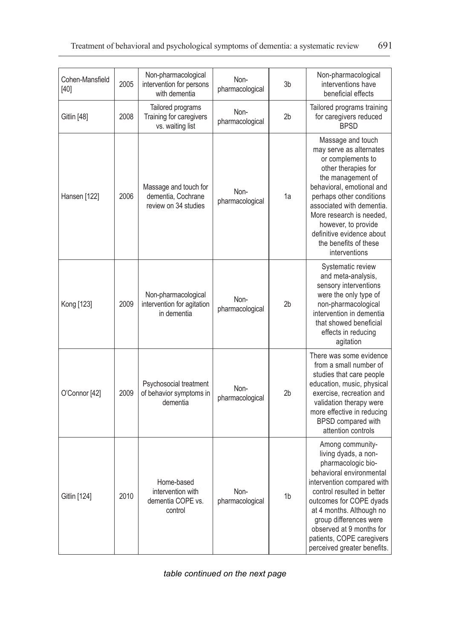| Cohen-Mansfield<br>$[40]$ | 2005 | Non-pharmacological<br>intervention for persons<br>with dementia    | Non-<br>pharmacological | 3b             | Non-pharmacological<br>interventions have<br>beneficial effects                                                                                                                                                                                                                                                                 |
|---------------------------|------|---------------------------------------------------------------------|-------------------------|----------------|---------------------------------------------------------------------------------------------------------------------------------------------------------------------------------------------------------------------------------------------------------------------------------------------------------------------------------|
| Gitlin [48]               | 2008 | Tailored programs<br>Training for caregivers<br>vs. waiting list    | Non-<br>pharmacological | 2 <sub>b</sub> | Tailored programs training<br>for caregivers reduced<br><b>BPSD</b>                                                                                                                                                                                                                                                             |
| Hansen [122]              | 2006 | Massage and touch for<br>dementia, Cochrane<br>review on 34 studies | Non-<br>pharmacological | 1a             | Massage and touch<br>may serve as alternates<br>or complements to<br>other therapies for<br>the management of<br>behavioral, emotional and<br>perhaps other conditions<br>associated with dementia.<br>More research is needed,<br>however, to provide<br>definitive evidence about<br>the benefits of these<br>interventions   |
| Kong [123]                | 2009 | Non-pharmacological<br>intervention for agitation<br>in dementia    | Non-<br>pharmacological | 2 <sub>b</sub> | Systematic review<br>and meta-analysis,<br>sensory interventions<br>were the only type of<br>non-pharmacological<br>intervention in dementia<br>that showed beneficial<br>effects in reducing<br>agitation                                                                                                                      |
| O'Connor [42]             | 2009 | Psychosocial treatment<br>of behavior symptoms in<br>dementia       | Non-<br>pharmacological | 2b             | There was some evidence<br>from a small number of<br>studies that care people<br>education, music, physical<br>exercise, recreation and<br>validation therapy were<br>more effective in reducing<br>BPSD compared with<br>attention controls                                                                                    |
| Gitlin [124]              | 2010 | Home-based<br>intervention with<br>dementia COPE vs.<br>control     | Non-<br>pharmacological | 1 <sub>b</sub> | Among community-<br>living dyads, a non-<br>pharmacologic bio-<br>behavioral environmental<br>intervention compared with<br>control resulted in better<br>outcomes for COPE dyads<br>at 4 months. Although no<br>group differences were<br>observed at 9 months for<br>patients, COPE caregivers<br>perceived greater benefits. |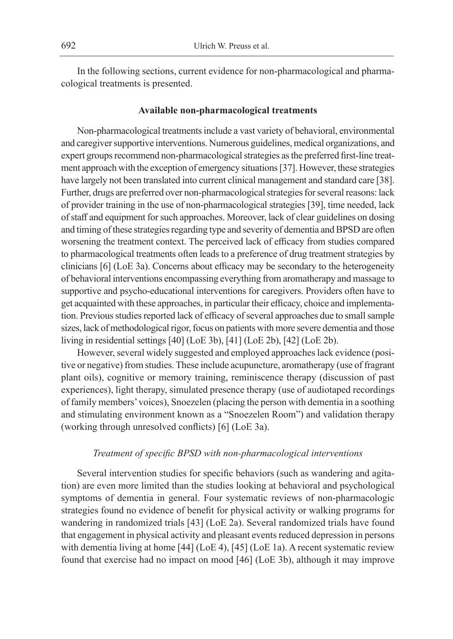In the following sections, current evidence for non-pharmacological and pharmacological treatments is presented.

#### **Available non-pharmacological treatments**

Non-pharmacological treatments include a vast variety of behavioral, environmental and caregiver supportive interventions. Numerous guidelines, medical organizations, and expert groups recommend non-pharmacological strategies as the preferred first-line treatment approach with the exception of emergency situations [37]. However, these strategies have largely not been translated into current clinical management and standard care [38]. Further, drugs are preferred over non-pharmacological strategies for several reasons: lack of provider training in the use of non-pharmacological strategies [39], time needed, lack of staff and equipment for such approaches. Moreover, lack of clear guidelines on dosing and timing of these strategies regarding type and severity of dementia and BPSD are often worsening the treatment context. The perceived lack of efficacy from studies compared to pharmacological treatments often leads to a preference of drug treatment strategies by clinicians [6] (LoE 3a). Concerns about efficacy may be secondary to the heterogeneity of behavioral interventions encompassing everything from aromatherapy and massage to supportive and psycho-educational interventions for caregivers. Providers often have to get acquainted with these approaches, in particular their efficacy, choice and implementation. Previous studies reported lack of efficacy of several approaches due to small sample sizes, lack of methodological rigor, focus on patients with more severe dementia and those living in residential settings [40] (LoE 3b), [41] (LoE 2b), [42] (LoE 2b).

However, several widely suggested and employed approaches lack evidence (positive or negative) from studies. These include acupuncture, aromatherapy (use of fragrant plant oils), cognitive or memory training, reminiscence therapy (discussion of past experiences), light therapy, simulated presence therapy (use of audiotaped recordings of family members' voices), Snoezelen (placing the person with dementia in a soothing and stimulating environment known as a "Snoezelen Room") and validation therapy (working through unresolved conflicts) [6] (LoE 3a).

## *Treatment of specific BPSD with non-pharmacological interventions*

Several intervention studies for specific behaviors (such as wandering and agitation) are even more limited than the studies looking at behavioral and psychological symptoms of dementia in general. Four systematic reviews of non-pharmacologic strategies found no evidence of benefit for physical activity or walking programs for wandering in randomized trials [43] (LoE 2a). Several randomized trials have found that engagement in physical activity and pleasant events reduced depression in persons with dementia living at home [44] (LoE 4), [45] (LoE 1a). A recent systematic review found that exercise had no impact on mood [46] (LoE 3b), although it may improve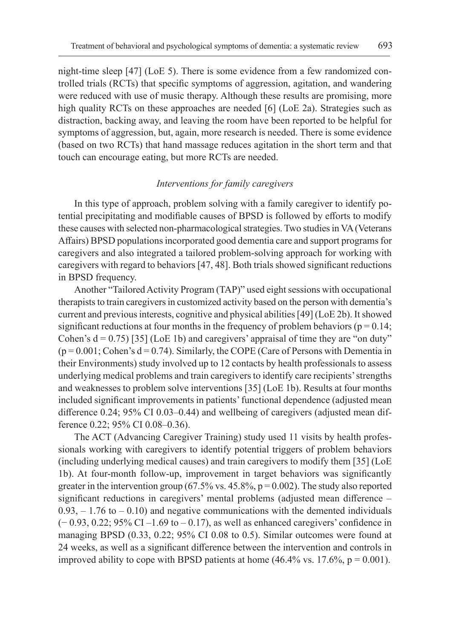night-time sleep [47] (LoE 5). There is some evidence from a few randomized controlled trials (RCTs) that specific symptoms of aggression, agitation, and wandering were reduced with use of music therapy. Although these results are promising, more high quality RCTs on these approaches are needed [6] (LoE 2a). Strategies such as distraction, backing away, and leaving the room have been reported to be helpful for symptoms of aggression, but, again, more research is needed. There is some evidence (based on two RCTs) that hand massage reduces agitation in the short term and that touch can encourage eating, but more RCTs are needed.

# *Interventions for family caregivers*

In this type of approach, problem solving with a family caregiver to identify potential precipitating and modifiable causes of BPSD is followed by efforts to modify these causes with selected non-pharmacological strategies. Two studies in VA (Veterans Affairs) BPSD populations incorporated good dementia care and support programs for caregivers and also integrated a tailored problem-solving approach for working with caregivers with regard to behaviors [47, 48]. Both trials showed significant reductions in BPSD frequency.

Another "Tailored Activity Program (TAP)" used eight sessions with occupational therapists to train caregivers in customized activity based on the person with dementia's current and previous interests, cognitive and physical abilities [49] (LoE 2b). It showed significant reductions at four months in the frequency of problem behaviors ( $p = 0.14$ ; Cohen's  $d = 0.75$  [35] (LoE 1b) and caregivers' appraisal of time they are "on duty"  $(p = 0.001; \text{Cohen's d} = 0.74)$ . Similarly, the COPE (Care of Persons with Dementia in their Environments) study involved up to 12 contacts by health professionals to assess underlying medical problems and train caregivers to identify care recipients' strengths and weaknesses to problem solve interventions [35] (LoE 1b). Results at four months included significant improvements in patients' functional dependence (adjusted mean difference 0.24; 95% CI 0.03–0.44) and wellbeing of caregivers (adjusted mean difference 0.22; 95% CI 0.08–0.36).

The ACT (Advancing Caregiver Training) study used 11 visits by health professionals working with caregivers to identify potential triggers of problem behaviors (including underlying medical causes) and train caregivers to modify them [35] (LoE 1b). At four-month follow-up, improvement in target behaviors was significantly greater in the intervention group (67.5% vs. 45.8%,  $p = 0.002$ ). The study also reported significant reductions in caregivers' mental problems (adjusted mean difference –  $0.93, -1.76$  to  $-0.10$ ) and negative communications with the demented individuals (− 0.93, 0.22; 95% CI –1.69 to – 0.17), as well as enhanced caregivers' confidence in managing BPSD (0.33, 0.22; 95% CI 0.08 to 0.5). Similar outcomes were found at 24 weeks, as well as a significant difference between the intervention and controls in improved ability to cope with BPSD patients at home  $(46.4\% \text{ vs. } 17.6\%, \text{ p} = 0.001)$ .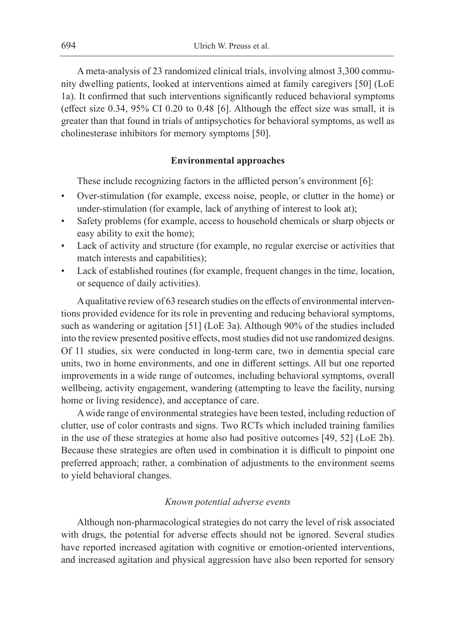A meta-analysis of 23 randomized clinical trials, involving almost 3,300 community dwelling patients, looked at interventions aimed at family caregivers [50] (LoE 1a). It confirmed that such interventions significantly reduced behavioral symptoms (effect size 0.34, 95% CI 0.20 to 0.48 [6]. Although the effect size was small, it is greater than that found in trials of antipsychotics for behavioral symptoms, as well as cholinesterase inhibitors for memory symptoms [50].

#### **Environmental approaches**

These include recognizing factors in the afflicted person's environment [6]:

- Over-stimulation (for example, excess noise, people, or clutter in the home) or under-stimulation (for example, lack of anything of interest to look at);
- Safety problems (for example, access to household chemicals or sharp objects or easy ability to exit the home);
- Lack of activity and structure (for example, no regular exercise or activities that match interests and capabilities);
- Lack of established routines (for example, frequent changes in the time, location, or sequence of daily activities).

A qualitative review of 63 research studies on the effects of environmental interventions provided evidence for its role in preventing and reducing behavioral symptoms, such as wandering or agitation [51] (LoE 3a). Although 90% of the studies included into the review presented positive effects, most studies did not use randomized designs. Of 11 studies, six were conducted in long-term care, two in dementia special care units, two in home environments, and one in different settings. All but one reported improvements in a wide range of outcomes, including behavioral symptoms, overall wellbeing, activity engagement, wandering (attempting to leave the facility, nursing home or living residence), and acceptance of care.

A wide range of environmental strategies have been tested, including reduction of clutter, use of color contrasts and signs. Two RCTs which included training families in the use of these strategies at home also had positive outcomes [49, 52] (LoE 2b). Because these strategies are often used in combination it is difficult to pinpoint one preferred approach; rather, a combination of adjustments to the environment seems to yield behavioral changes.

## *Known potential adverse events*

Although non-pharmacological strategies do not carry the level of risk associated with drugs, the potential for adverse effects should not be ignored. Several studies have reported increased agitation with cognitive or emotion-oriented interventions, and increased agitation and physical aggression have also been reported for sensory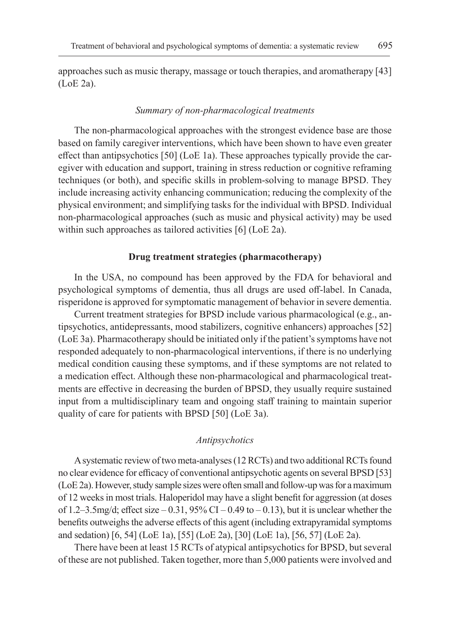approaches such as music therapy, massage or touch therapies, and aromatherapy [43] (LoE 2a).

#### *Summary of non-pharmacological treatments*

The non-pharmacological approaches with the strongest evidence base are those based on family caregiver interventions, which have been shown to have even greater effect than antipsychotics [50] (LoE 1a). These approaches typically provide the caregiver with education and support, training in stress reduction or cognitive reframing techniques (or both), and specific skills in problem-solving to manage BPSD. They include increasing activity enhancing communication; reducing the complexity of the physical environment; and simplifying tasks for the individual with BPSD. Individual non-pharmacological approaches (such as music and physical activity) may be used within such approaches as tailored activities [6] (LoE 2a).

#### **Drug treatment strategies (pharmacotherapy)**

In the USA, no compound has been approved by the FDA for behavioral and psychological symptoms of dementia, thus all drugs are used off-label. In Canada, risperidone is approved for symptomatic management of behavior in severe dementia.

Current treatment strategies for BPSD include various pharmacological (e.g., antipsychotics, antidepressants, mood stabilizers, cognitive enhancers) approaches [52] (LoE 3a). Pharmacotherapy should be initiated only if the patient's symptoms have not responded adequately to non-pharmacological interventions, if there is no underlying medical condition causing these symptoms, and if these symptoms are not related to a medication effect. Although these non-pharmacological and pharmacological treatments are effective in decreasing the burden of BPSD, they usually require sustained input from a multidisciplinary team and ongoing staff training to maintain superior quality of care for patients with BPSD [50] (LoE 3a).

#### *Antipsychotics*

A systematic review of two meta-analyses (12 RCTs) and two additional RCTs found no clear evidence for efficacy of conventional antipsychotic agents on several BPSD [53] (LoE 2a). However, study sample sizes were often small and follow-up was for amaximum of 12 weeks in most trials. Haloperidol may have a slight benefit for aggression (at doses of 1.2–3.5mg/d; effect size  $-0.31$ , 95% CI  $-0.49$  to  $-0.13$ ), but it is unclear whether the benefits outweighs the adverse effects of this agent (including extrapyramidal symptoms and sedation) [6, 54] (LoE 1a), [55] (LoE 2a), [30] (LoE 1a), [56, 57] (LoE 2a).

There have been at least 15 RCTs of atypical antipsychotics for BPSD, but several of these are not published. Taken together, more than 5,000 patients were involved and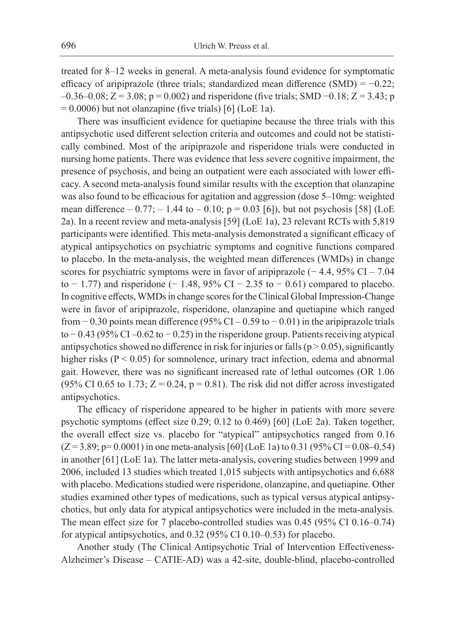treated for 8–12 weeks in general. A meta-analysis found evidence for symptomatic efficacy of aripiprazole (three trials; standardized mean difference  $(SMD) = -0.22$ ;  $-0.36-0.08$ ; Z = 3.08; p = 0.002) and risperidone (five trials; SMD  $-0.18$ ; Z = 3.43; p  $= 0.0006$ ) but not olanzapine (five trials) [6] (LoE 1a).

There was insufficient evidence for quetiapine because the three trials with this antipsychotic used different selection criteria and outcomes and could not be statistically combined. Most of the aripiprazole and risperidone trials were conducted in nursing home patients. There was evidence that less severe cognitive impairment, the presence of psychosis, and being an outpatient were each associated with lower efficacy. A second meta-analysis found similar results with the exception that olanzapine was also found to be efficacious for agitation and aggression (dose 5–10mg: weighted mean difference  $-0.77$ ;  $-1.44$  to  $-0.10$ ;  $p = 0.03$  [6]), but not psychosis [58] (LoE 2a). In a recent review and meta-analysis [59] (LoE 1a), 23 relevant RCTs with 5,819 participants were identified. This meta-analysis demonstrated a significant efficacy of atypical antipsychotics on psychiatric symptoms and cognitive functions compared to placebo. In the meta-analysis, the weighted mean differences (WMDs) in change scores for psychiatric symptoms were in favor of aripiprazole (−4.4, 95% CI – 7.04 to  $-1.77$ ) and risperidone ( $-1.48$ , 95% CI  $-2.35$  to  $-0.61$ ) compared to placebo. In cognitive effects, WMDs in change scores for the Clinical Global Impression-Change were in favor of aripiprazole, risperidone, olanzapine and quetiapine which ranged from  $-0.30$  points mean difference (95% CI – 0.59 to  $-0.01$ ) in the aripiprazole trials to − 0.43 (95% CI –0.62 to − 0.25) in the risperidone group. Patients receiving atypical antipsychotics showed no difference in risk for injuries or falls ( $p > 0.05$ ), significantly higher risks  $(P < 0.05)$  for somnolence, urinary tract infection, edema and abnormal gait. However, there was no significant increased rate of lethal outcomes (OR 1.06 (95% CI 0.65 to 1.73;  $Z = 0.24$ ,  $p = 0.81$ ). The risk did not differ across investigated antipsychotics.

The efficacy of risperidone appeared to be higher in patients with more severe psychotic symptoms (effect size 0.29; 0.12 to 0.469) [60] (LoE 2a). Taken together, the overall effect size vs. placebo for "atypical" antipsychotics ranged from 0.16  $(Z = 3.89; p = 0.0001)$  in one meta-analysis [60] (LoE 1a) to 0.31 (95% CI = 0.08–0.54) in another [61] (LoE 1a). The latter meta-analysis, covering studies between 1999 and 2006, included 13 studies which treated 1,015 subjects with antipsychotics and 6,688 with placebo. Medications studied were risperidone, olanzapine, and quetiapine. Other studies examined other types of medications, such as typical versus atypical antipsychotics, but only data for atypical antipsychotics were included in the meta-analysis. The mean effect size for 7 placebo-controlled studies was 0.45 (95% CI 0.16–0.74) for atypical antipsychotics, and 0.32 (95% CI 0.10–0.53) for placebo.

Another study (The Clinical Antipsychotic Trial of Intervention Effectiveness-Alzheimer's Disease – CATIE-AD) was a 42-site, double-blind, placebo-controlled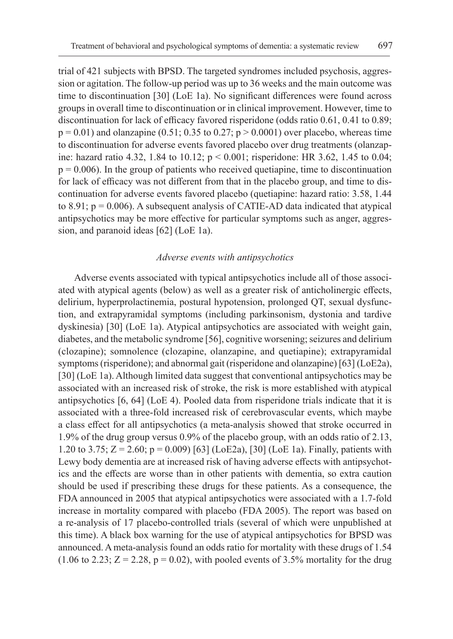trial of 421 subjects with BPSD. The targeted syndromes included psychosis, aggression or agitation. The follow-up period was up to 36 weeks and the main outcome was time to discontinuation [30] (LoE 1a). No significant differences were found across groups in overall time to discontinuation or in clinical improvement. However, time to discontinuation for lack of efficacy favored risperidone (odds ratio 0.61, 0.41 to 0.89;  $p = 0.01$ ) and olanzapine (0.51; 0.35 to 0.27;  $p > 0.0001$ ) over placebo, whereas time to discontinuation for adverse events favored placebo over drug treatments (olanzapine: hazard ratio 4.32, 1.84 to 10.12; p < 0.001; risperidone: HR 3.62, 1.45 to 0.04;  $p = 0.006$ ). In the group of patients who received quetiapine, time to discontinuation for lack of efficacy was not different from that in the placebo group, and time to discontinuation for adverse events favored placebo (quetiapine: hazard ratio: 3.58, 1.44 to 8.91;  $p = 0.006$ ). A subsequent analysis of CATIE-AD data indicated that atypical antipsychotics may be more effective for particular symptoms such as anger, aggression, and paranoid ideas [62] (LoE 1a).

#### *Adverse events with antipsychotics*

Adverse events associated with typical antipsychotics include all of those associated with atypical agents (below) as well as a greater risk of anticholinergic effects, delirium, hyperprolactinemia, postural hypotension, prolonged QT, sexual dysfunction, and extrapyramidal symptoms (including parkinsonism, dystonia and tardive dyskinesia) [30] (LoE 1a). Atypical antipsychotics are associated with weight gain, diabetes, and the metabolic syndrome [56], cognitive worsening; seizures and delirium (clozapine); somnolence (clozapine, olanzapine, and quetiapine); extrapyramidal symptoms (risperidone); and abnormal gait (risperidone and olanzapine) [63] (LoE2a), [30] (LoE 1a). Although limited data suggest that conventional antipsychotics may be associated with an increased risk of stroke, the risk is more established with atypical antipsychotics [6, 64] (LoE 4). Pooled data from risperidone trials indicate that it is associated with a three-fold increased risk of cerebrovascular events, which maybe a class effect for all antipsychotics (a meta-analysis showed that stroke occurred in 1.9% of the drug group versus 0.9% of the placebo group, with an odds ratio of 2.13, 1.20 to 3.75;  $Z = 2.60$ ;  $p = 0.009$  [63] (LoE2a), [30] (LoE 1a). Finally, patients with Lewy body dementia are at increased risk of having adverse effects with antipsychotics and the effects are worse than in other patients with dementia, so extra caution should be used if prescribing these drugs for these patients. As a consequence, the FDA announced in 2005 that atypical antipsychotics were associated with a 1.7-fold increase in mortality compared with placebo (FDA 2005). The report was based on a re-analysis of 17 placebo-controlled trials (several of which were unpublished at this time). A black box warning for the use of atypical antipsychotics for BPSD was announced. A meta-analysis found an odds ratio for mortality with these drugs of 1.54  $(1.06 \text{ to } 2.23; Z = 2.28, p = 0.02)$ , with pooled events of 3.5% mortality for the drug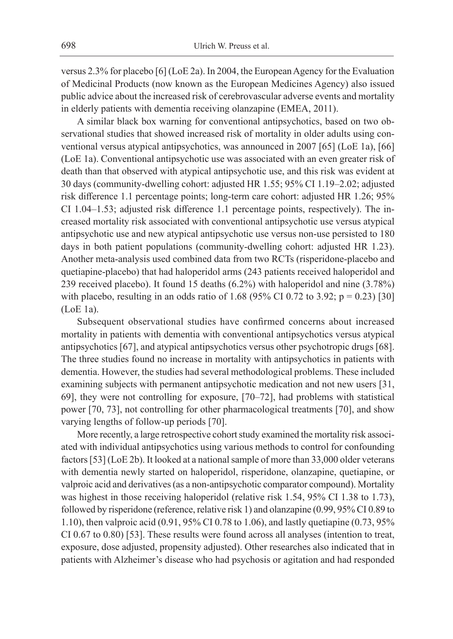versus 2.3% for placebo [6] (LoE 2a). In 2004, the European Agency for the Evaluation of Medicinal Products (now known as the European Medicines Agency) also issued public advice about the increased risk of cerebrovascular adverse events and mortality in elderly patients with dementia receiving olanzapine (EMEA, 2011).

A similar black box warning for conventional antipsychotics, based on two observational studies that showed increased risk of mortality in older adults using conventional versus atypical antipsychotics, was announced in 2007 [65] (LoE 1a), [66] (LoE 1a). Conventional antipsychotic use was associated with an even greater risk of death than that observed with atypical antipsychotic use, and this risk was evident at 30 days (community-dwelling cohort: adjusted HR 1.55; 95% CI 1.19–2.02; adjusted risk difference 1.1 percentage points; long-term care cohort: adjusted HR 1.26; 95% CI 1.04–1.53; adjusted risk difference 1.1 percentage points, respectively). The increased mortality risk associated with conventional antipsychotic use versus atypical antipsychotic use and new atypical antipsychotic use versus non-use persisted to 180 days in both patient populations (community-dwelling cohort: adjusted HR 1.23). Another meta-analysis used combined data from two RCTs (risperidone-placebo and quetiapine-placebo) that had haloperidol arms (243 patients received haloperidol and 239 received placebo). It found 15 deaths (6.2%) with haloperidol and nine (3.78%) with placebo, resulting in an odds ratio of 1.68 (95% CI 0.72 to 3.92;  $p = 0.23$ ) [30] (LoE 1a).

Subsequent observational studies have confirmed concerns about increased mortality in patients with dementia with conventional antipsychotics versus atypical antipsychotics [67], and atypical antipsychotics versus other psychotropic drugs [68]. The three studies found no increase in mortality with antipsychotics in patients with dementia. However, the studies had several methodological problems. These included examining subjects with permanent antipsychotic medication and not new users [31, 69], they were not controlling for exposure, [70–72], had problems with statistical power [70, 73], not controlling for other pharmacological treatments [70], and show varying lengths of follow-up periods [70].

More recently, a large retrospective cohort study examined the mortality risk associated with individual antipsychotics using various methods to control for confounding factors [53] (LoE 2b). It looked at a national sample of more than 33,000 older veterans with dementia newly started on haloperidol, risperidone, olanzapine, quetiapine, or valproic acid and derivatives (as a non-antipsychotic comparator compound). Mortality was highest in those receiving haloperidol (relative risk 1.54, 95% CI 1.38 to 1.73), followed by risperidone (reference, relative risk 1) and olanzapine (0.99, 95% CI 0.89 to 1.10), then valproic acid (0.91, 95% CI 0.78 to 1.06), and lastly quetiapine (0.73, 95% CI 0.67 to 0.80) [53]. These results were found across all analyses (intention to treat, exposure, dose adjusted, propensity adjusted). Other researches also indicated that in patients with Alzheimer's disease who had psychosis or agitation and had responded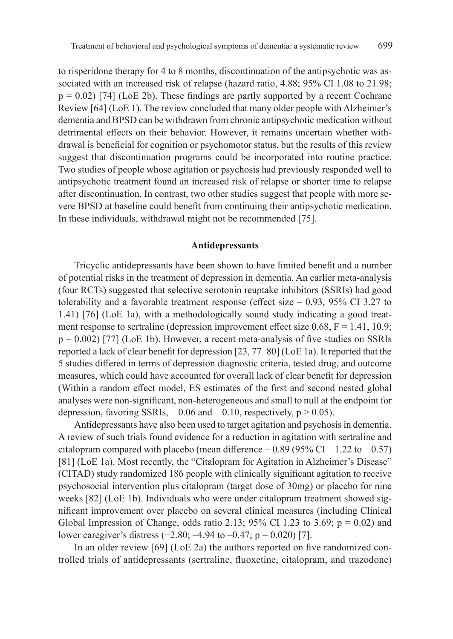to risperidone therapy for 4 to 8 months, discontinuation of the antipsychotic was associated with an increased risk of relapse (hazard ratio, 4.88; 95% CI 1.08 to 21.98;  $p = 0.02$ ) [74] (LoE 2b). These findings are partly supported by a recent Cochrane Review [64] (LoE 1). The review concluded that many older people with Alzheimer's dementia and BPSD can be withdrawn from chronic antipsychotic medication without detrimental effects on their behavior. However, it remains uncertain whether withdrawal is beneficial for cognition or psychomotor status, but the results of this review suggest that discontinuation programs could be incorporated into routine practice. Two studies of people whose agitation or psychosis had previously responded well to antipsychotic treatment found an increased risk of relapse or shorter time to relapse after discontinuation. In contrast, two other studies suggest that people with more severe BPSD at baseline could benefit from continuing their antipsychotic medication. In these individuals, withdrawal might not be recommended [75].

#### **Antidepressants**

Tricyclic antidepressants have been shown to have limited benefit and a number of potential risks in the treatment of depression in dementia. An earlier meta-analysis (four RCTs) suggested that selective serotonin reuptake inhibitors (SSRIs) had good tolerability and a favorable treatment response (effect size – 0.93, 95% CI 3.27 to 1.41) [76] (LoE 1a), with a methodologically sound study indicating a good treatment response to sertraline (depression improvement effect size 0.68,  $F = 1.41, 10.9;$  $p = 0.002$  [77] (LoE 1b). However, a recent meta-analysis of five studies on SSRIs reported a lack of clear benefit for depression [23, 77–80] (LoE 1a). It reported that the 5 studies differed in terms of depression diagnostic criteria, tested drug, and outcome measures, which could have accounted for overall lack of clear benefit for depression (Within a random effect model, ES estimates of the first and second nested global analyses were non-significant, non-heterogeneous and small to null at the endpoint for depression, favoring SSRIs,  $-0.06$  and  $-0.10$ , respectively,  $p > 0.05$ ).

Antidepressants have also been used to target agitation and psychosis in dementia. A review of such trials found evidence for a reduction in agitation with sertraline and citalopram compared with placebo (mean difference  $-0.89$  (95% CI – 1.22 to – 0.57) [81] (LoE 1a). Most recently, the "Citalopram for Agitation in Alzheimer's Disease" (CITAD) study randomized 186 people with clinically significant agitation to receive psychosocial intervention plus citalopram (target dose of 30mg) or placebo for nine weeks [82] (LoE 1b). Individuals who were under citalopram treatment showed significant improvement over placebo on several clinical measures (including Clinical Global Impression of Change, odds ratio 2.13; 95% CI 1.23 to 3.69;  $p = 0.02$ ) and lower caregiver's distress (−2.80; –4.94 to –0.47; p = 0.020) [7].

In an older review [69] (LoE 2a) the authors reported on five randomized controlled trials of antidepressants (sertraline, fluoxetine, citalopram, and trazodone)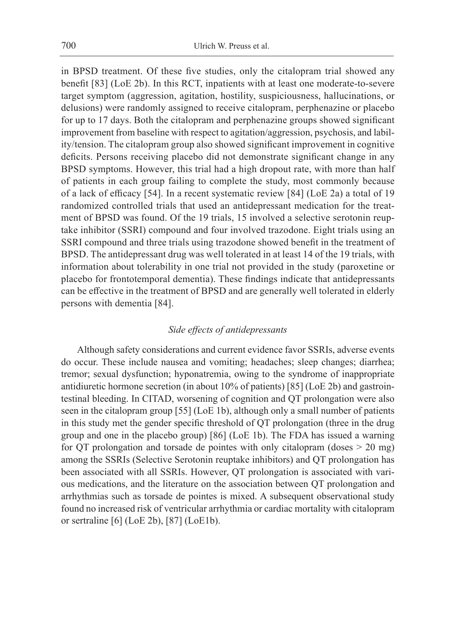in BPSD treatment. Of these five studies, only the citalopram trial showed any benefit [83] (LoE 2b). In this RCT, inpatients with at least one moderate-to-severe target symptom (aggression, agitation, hostility, suspiciousness, hallucinations, or delusions) were randomly assigned to receive citalopram, perphenazine or placebo for up to 17 days. Both the citalopram and perphenazine groups showed significant improvement from baseline with respect to agitation/aggression, psychosis, and lability/tension. The citalopram group also showed significant improvement in cognitive deficits. Persons receiving placebo did not demonstrate significant change in any BPSD symptoms. However, this trial had a high dropout rate, with more than half of patients in each group failing to complete the study, most commonly because of a lack of efficacy [54]. In a recent systematic review [84] (LoE 2a) a total of 19 randomized controlled trials that used an antidepressant medication for the treatment of BPSD was found. Of the 19 trials, 15 involved a selective serotonin reuptake inhibitor (SSRI) compound and four involved trazodone. Eight trials using an SSRI compound and three trials using trazodone showed benefit in the treatment of BPSD. The antidepressant drug was well tolerated in at least 14 of the 19 trials, with information about tolerability in one trial not provided in the study (paroxetine or placebo for frontotemporal dementia). These findings indicate that antidepressants can be effective in the treatment of BPSD and are generally well tolerated in elderly persons with dementia [84].

# *Side effects of antidepressants*

Although safety considerations and current evidence favor SSRIs, adverse events do occur. These include nausea and vomiting; headaches; sleep changes; diarrhea; tremor; sexual dysfunction; hyponatremia, owing to the syndrome of inappropriate antidiuretic hormone secretion (in about 10% of patients) [85] (LoE 2b) and gastrointestinal bleeding. In CITAD, worsening of cognition and QT prolongation were also seen in the citalopram group [55] (LoE 1b), although only a small number of patients in this study met the gender specific threshold of QT prolongation (three in the drug group and one in the placebo group) [86] (LoE 1b). The FDA has issued a warning for QT prolongation and torsade de pointes with only citalopram (doses > 20 mg) among the SSRIs (Selective Serotonin reuptake inhibitors) and QT prolongation has been associated with all SSRIs. However, QT prolongation is associated with various medications, and the literature on the association between QT prolongation and arrhythmias such as torsade de pointes is mixed. A subsequent observational study found no increased risk of ventricular arrhythmia or cardiac mortality with citalopram or sertraline [6] (LoE 2b), [87] (LoE1b).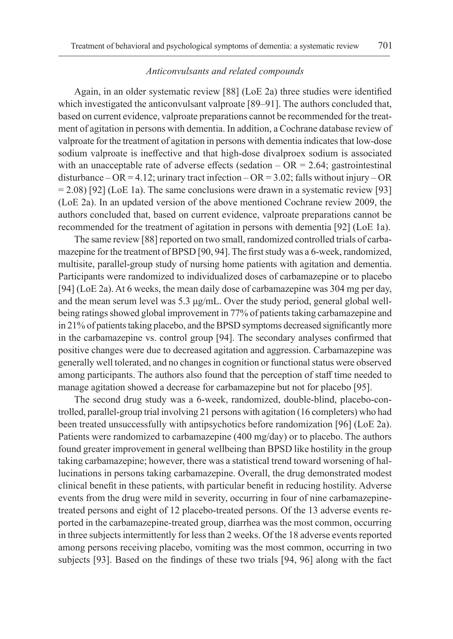#### *Anticonvulsants and related compounds*

Again, in an older systematic review [88] (LoE 2a) three studies were identified which investigated the anticonvulsant valproate [89–91]. The authors concluded that, based on current evidence, valproate preparations cannot be recommended for the treatment of agitation in persons with dementia. In addition, a Cochrane database review of valproate for the treatment of agitation in persons with dementia indicates that low-dose sodium valproate is ineffective and that high-dose divalproex sodium is associated with an unacceptable rate of adverse effects (sedation  $- OR = 2.64$ ; gastrointestinal disturbance – OR = 4.12; urinary tract infection – OR = 3.02; falls without injury – OR  $= 2.08$  [92] (LoE 1a). The same conclusions were drawn in a systematic review [93] (LoE 2a). In an updated version of the above mentioned Cochrane review 2009, the authors concluded that, based on current evidence, valproate preparations cannot be recommended for the treatment of agitation in persons with dementia [92] (LoE 1a).

The same review [88] reported on two small, randomized controlled trials of carbamazepine for the treatment of BPSD [90, 94]. The first study was a 6-week, randomized, multisite, parallel-group study of nursing home patients with agitation and dementia. Participants were randomized to individualized doses of carbamazepine or to placebo [94] (LoE 2a). At 6 weeks, the mean daily dose of carbamazepine was 304 mg per day, and the mean serum level was 5.3  $\mu$ g/mL. Over the study period, general global wellbeing ratings showed global improvement in 77% of patients taking carbamazepine and in 21% of patients taking placebo, and the BPSD symptoms decreased significantly more in the carbamazepine vs. control group [94]. The secondary analyses confirmed that positive changes were due to decreased agitation and aggression. Carbamazepine was generally well tolerated, and no changes in cognition or functional status were observed among participants. The authors also found that the perception of staff time needed to manage agitation showed a decrease for carbamazepine but not for placebo [95].

The second drug study was a 6-week, randomized, double-blind, placebo-controlled, parallel-group trial involving 21 persons with agitation (16 completers) who had been treated unsuccessfully with antipsychotics before randomization [96] (LoE 2a). Patients were randomized to carbamazepine (400 mg/day) or to placebo. The authors found greater improvement in general wellbeing than BPSD like hostility in the group taking carbamazepine; however, there was a statistical trend toward worsening of hallucinations in persons taking carbamazepine. Overall, the drug demonstrated modest clinical benefit in these patients, with particular benefit in reducing hostility. Adverse events from the drug were mild in severity, occurring in four of nine carbamazepinetreated persons and eight of 12 placebo-treated persons. Of the 13 adverse events reported in the carbamazepine-treated group, diarrhea was the most common, occurring in three subjects intermittently for less than 2 weeks. Of the 18 adverse events reported among persons receiving placebo, vomiting was the most common, occurring in two subjects [93]. Based on the findings of these two trials [94, 96] along with the fact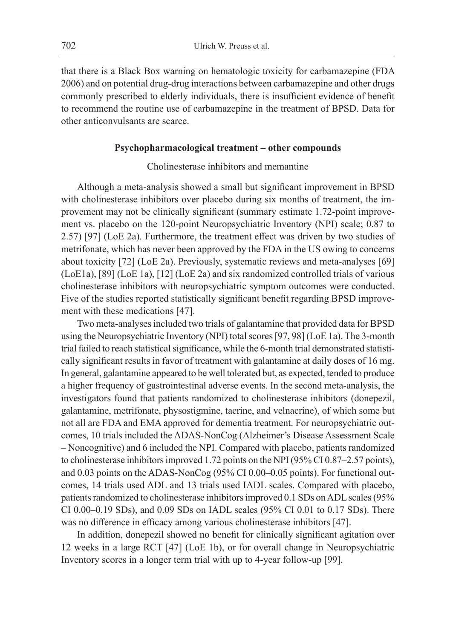that there is a Black Box warning on hematologic toxicity for carbamazepine (FDA 2006) and on potential drug-drug interactions between carbamazepine and other drugs commonly prescribed to elderly individuals, there is insufficient evidence of benefit to recommend the routine use of carbamazepine in the treatment of BPSD. Data for other anticonvulsants are scarce.

#### **Psychopharmacological treatment – other compounds**

## Cholinesterase inhibitors and memantine

Although a meta-analysis showed a small but significant improvement in BPSD with cholinesterase inhibitors over placebo during six months of treatment, the improvement may not be clinically significant (summary estimate 1.72-point improvement vs. placebo on the 120-point Neuropsychiatric Inventory (NPI) scale; 0.87 to 2.57) [97] (LoE 2a). Furthermore, the treatment effect was driven by two studies of metrifonate, which has never been approved by the FDA in the US owing to concerns about toxicity [72] (LoE 2a). Previously, systematic reviews and meta-analyses [69] (LoE1a), [89] (LoE 1a), [12] (LoE 2a) and six randomized controlled trials of various cholinesterase inhibitors with neuropsychiatric symptom outcomes were conducted. Five of the studies reported statistically significant benefit regarding BPSD improvement with these medications [47].

Two meta-analyses included two trials of galantamine that provided data for BPSD using the Neuropsychiatric Inventory (NPI) total scores [97, 98] (LoE 1a). The 3-month trial failed to reach statistical significance, while the 6-month trial demonstrated statistically significant results in favor of treatment with galantamine at daily doses of 16 mg. In general, galantamine appeared to be well tolerated but, as expected, tended to produce a higher frequency of gastrointestinal adverse events. In the second meta-analysis, the investigators found that patients randomized to cholinesterase inhibitors (donepezil, galantamine, metrifonate, physostigmine, tacrine, and velnacrine), of which some but not all are FDA and EMA approved for dementia treatment. For neuropsychiatric outcomes, 10 trials included the ADAS-NonCog (Alzheimer's Disease Assessment Scale – Noncognitive) and 6 included the NPI. Compared with placebo, patients randomized to cholinesterase inhibitors improved 1.72 points on the NPI (95% CI 0.87–2.57 points), and 0.03 points on the ADAS-NonCog (95% CI 0.00–0.05 points). For functional outcomes, 14 trials used ADL and 13 trials used IADL scales. Compared with placebo, patients randomized to cholinesterase inhibitors improved 0.1 SDs on ADL scales (95% CI 0.00–0.19 SDs), and 0.09 SDs on IADL scales (95% CI 0.01 to 0.17 SDs). There was no difference in efficacy among various cholinesterase inhibitors [47].

In addition, donepezil showed no benefit for clinically significant agitation over 12 weeks in a large RCT [47] (LoE 1b), or for overall change in Neuropsychiatric Inventory scores in a longer term trial with up to 4-year follow-up [99].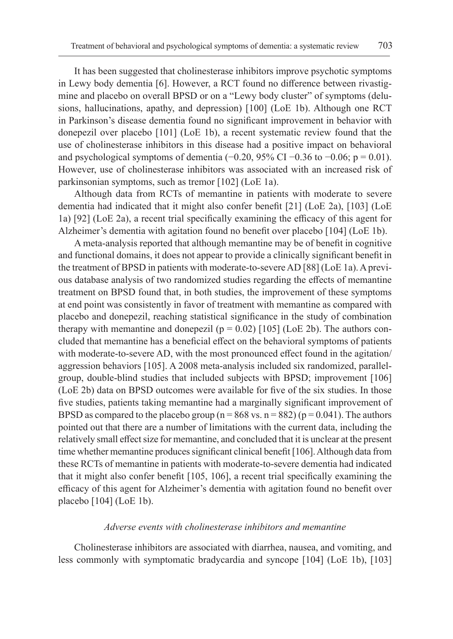It has been suggested that cholinesterase inhibitors improve psychotic symptoms in Lewy body dementia [6]. However, a RCT found no difference between rivastigmine and placebo on overall BPSD or on a "Lewy body cluster" of symptoms (delusions, hallucinations, apathy, and depression) [100] (LoE 1b). Although one RCT in Parkinson's disease dementia found no significant improvement in behavior with donepezil over placebo [101] (LoE 1b), a recent systematic review found that the use of cholinesterase inhibitors in this disease had a positive impact on behavioral and psychological symptoms of dementia ( $-0.20$ , 95% CI  $-0.36$  to  $-0.06$ ; p = 0.01). However, use of cholinesterase inhibitors was associated with an increased risk of parkinsonian symptoms, such as tremor [102] (LoE 1a).

Although data from RCTs of memantine in patients with moderate to severe dementia had indicated that it might also confer benefit [21] (LoE 2a), [103] (LoE 1a) [92] (LoE 2a), a recent trial specifically examining the efficacy of this agent for Alzheimer's dementia with agitation found no benefit over placebo [104] (LoE 1b).

A meta-analysis reported that although memantine may be of benefit in cognitive and functional domains, it does not appear to provide a clinically significant benefit in the treatment of BPSD in patients with moderate-to-severe AD [88] (LoE 1a). A previous database analysis of two randomized studies regarding the effects of memantine treatment on BPSD found that, in both studies, the improvement of these symptoms at end point was consistently in favor of treatment with memantine as compared with placebo and donepezil, reaching statistical significance in the study of combination therapy with memantine and donepezil ( $p = 0.02$ ) [105] (LoE 2b). The authors concluded that memantine has a beneficial effect on the behavioral symptoms of patients with moderate-to-severe AD, with the most pronounced effect found in the agitation/ aggression behaviors [105]. A 2008 meta-analysis included six randomized, parallelgroup, double-blind studies that included subjects with BPSD; improvement [106] (LoE 2b) data on BPSD outcomes were available for five of the six studies. In those five studies, patients taking memantine had a marginally significant improvement of BPSD as compared to the placebo group ( $n = 868$  vs.  $n = 882$ ) ( $p = 0.041$ ). The authors pointed out that there are a number of limitations with the current data, including the relatively small effect size for memantine, and concluded that it is unclear at the present time whether memantine produces significant clinical benefit [106]. Although data from these RCTs of memantine in patients with moderate-to-severe dementia had indicated that it might also confer benefit [105, 106], a recent trial specifically examining the efficacy of this agent for Alzheimer's dementia with agitation found no benefit over placebo [104] (LoE 1b).

## *Adverse events with cholinesterase inhibitors and memantine*

Cholinesterase inhibitors are associated with diarrhea, nausea, and vomiting, and less commonly with symptomatic bradycardia and syncope [104] (LoE 1b), [103]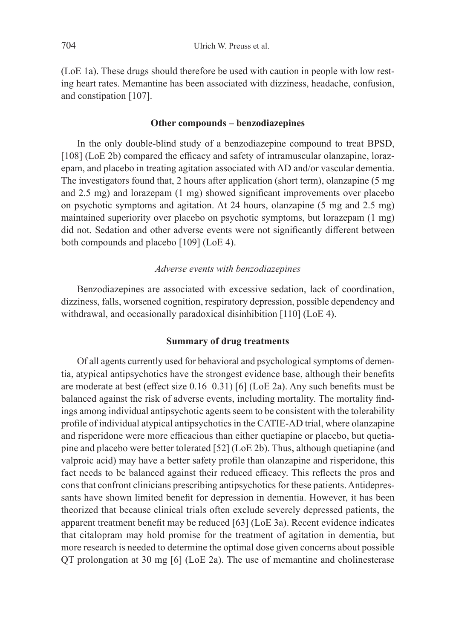(LoE 1a). These drugs should therefore be used with caution in people with low resting heart rates. Memantine has been associated with dizziness, headache, confusion, and constipation [107].

#### **Other compounds – benzodiazepines**

In the only double-blind study of a benzodiazepine compound to treat BPSD, [108] (LoE 2b) compared the efficacy and safety of intramuscular olanzapine, lorazepam, and placebo in treating agitation associated with AD and/or vascular dementia. The investigators found that, 2 hours after application (short term), olanzapine (5 mg and 2.5 mg) and lorazepam (1 mg) showed significant improvements over placebo on psychotic symptoms and agitation. At 24 hours, olanzapine (5 mg and 2.5 mg) maintained superiority over placebo on psychotic symptoms, but lorazepam (1 mg) did not. Sedation and other adverse events were not significantly different between both compounds and placebo [109] (LoE 4).

### *Adverse events with benzodiazepines*

Benzodiazepines are associated with excessive sedation, lack of coordination, dizziness, falls, worsened cognition, respiratory depression, possible dependency and withdrawal, and occasionally paradoxical disinhibition [110] (LoE 4).

#### **Summary of drug treatments**

Of all agents currently used for behavioral and psychological symptoms of dementia, atypical antipsychotics have the strongest evidence base, although their benefits are moderate at best (effect size 0.16–0.31) [6] (LoE 2a). Any such benefits must be balanced against the risk of adverse events, including mortality. The mortality findings among individual antipsychotic agents seem to be consistent with the tolerability profile of individual atypical antipsychotics in the CATIE-AD trial, where olanzapine and risperidone were more efficacious than either quetiapine or placebo, but quetiapine and placebo were better tolerated [52] (LoE 2b). Thus, although quetiapine (and valproic acid) may have a better safety profile than olanzapine and risperidone, this fact needs to be balanced against their reduced efficacy. This reflects the pros and cons that confront clinicians prescribing antipsychotics for these patients. Antidepressants have shown limited benefit for depression in dementia. However, it has been theorized that because clinical trials often exclude severely depressed patients, the apparent treatment benefit may be reduced [63] (LoE 3a). Recent evidence indicates that citalopram may hold promise for the treatment of agitation in dementia, but more research is needed to determine the optimal dose given concerns about possible QT prolongation at 30 mg [6] (LoE 2a). The use of memantine and cholinesterase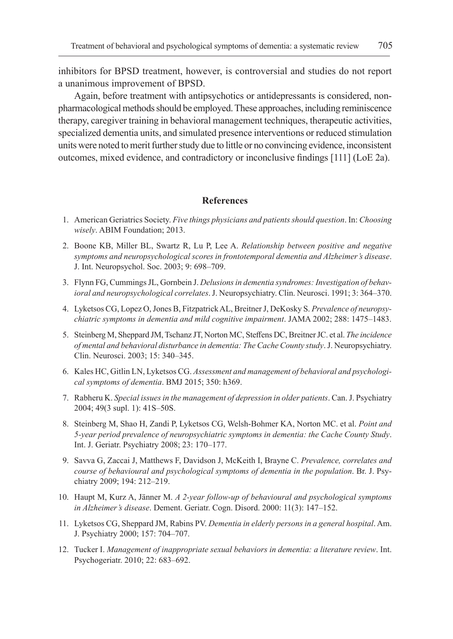inhibitors for BPSD treatment, however, is controversial and studies do not report a unanimous improvement of BPSD.

Again, before treatment with antipsychotics or antidepressants is considered, nonpharmacological methods should be employed. These approaches, including reminiscence therapy, caregiver training in behavioral management techniques, therapeutic activities, specialized dementia units, and simulated presence interventions or reduced stimulation units were noted to merit further study due to little or no convincing evidence, inconsistent outcomes, mixed evidence, and contradictory or inconclusive findings [111] (LoE 2a).

## **References**

- 1. American Geriatrics Society. *Five things physicians and patients should question*. In: *Choosing wisely*. ABIM Foundation; 2013.
- 2. Boone KB, Miller BL, Swartz R, Lu P, Lee A. *Relationship between positive and negative symptoms and neuropsychological scores in frontotemporal dementia and Alzheimer's disease*. J. Int. Neuropsychol. Soc. 2003; 9: 698–709.
- 3. Flynn FG, Cummings JL, Gornbein J. *Delusions in dementia syndromes: Investigation of behavioral and neuropsychological correlates*. J. Neuropsychiatry. Clin. Neurosci. 1991; 3: 364–370.
- 4. Lyketsos CG, Lopez O, Jones B, Fitzpatrick AL, Breitner J, DeKosky S. *Prevalence of neuropsychiatric symptoms in dementia and mild cognitive impairment*. JAMA 2002; 288: 1475–1483.
- 5. Steinberg M, Sheppard JM, Tschanz JT, Norton MC, Steffens DC, Breitner JC. et al. *The incidence of mental and behavioral disturbance in dementia: The Cache County study*. J. Neuropsychiatry. Clin. Neurosci. 2003; 15: 340–345.
- 6. Kales HC, Gitlin LN, Lyketsos CG. *Assessment and management of behavioral and psychological symptoms of dementia*. BMJ 2015; 350: h369.
- 7. Rabheru K. *Special issues in the management of depression in older patients*. Can. J. Psychiatry 2004; 49(3 supl. 1): 41S–50S.
- 8. Steinberg M, Shao H, Zandi P, Lyketsos CG, Welsh-Bohmer KA, Norton MC. et al. *Point and 5-year period prevalence of neuropsychiatric symptoms in dementia: the Cache County Study*. Int. J. Geriatr. Psychiatry 2008; 23: 170–177.
- 9. Savva G, Zaccai J, Matthews F, Davidson J, McKeith I, Brayne C. *Prevalence, correlates and course of behavioural and psychological symptoms of dementia in the population*. Br. J. Psychiatry 2009; 194: 212–219.
- 10. Haupt M, Kurz A, Jänner M. *A 2-year follow-up of behavioural and psychological symptoms in Alzheimer's disease*. Dement. Geriatr. Cogn. Disord. 2000: 11(3): 147–152.
- 11. Lyketsos CG, Sheppard JM, Rabins PV. *Dementia in elderly persons in a general hospital*. Am. J. Psychiatry 2000; 157: 704–707.
- 12. Tucker I. *Management of inappropriate sexual behaviors in dementia: a literature review*. Int. Psychogeriatr. 2010; 22: 683–692.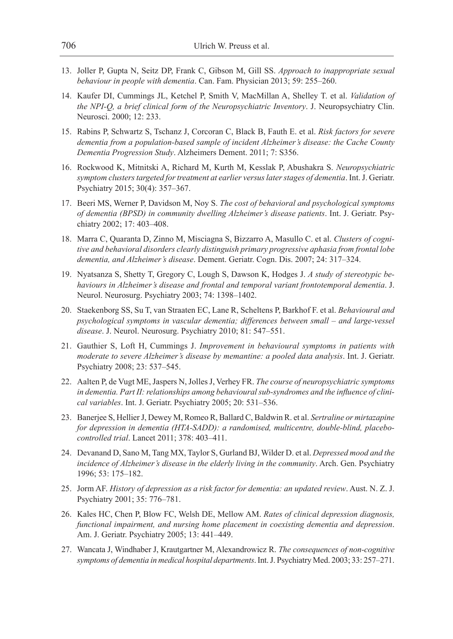- 13. Joller P, Gupta N, Seitz DP, Frank C, Gibson M, Gill SS. *Approach to inappropriate sexual behaviour in people with dementia*. Can. Fam. Physician 2013; 59: 255–260.
- 14. Kaufer DI, Cummings JL, Ketchel P, Smith V, MacMillan A, Shelley T. et al. *Validation of the NPI-Q, a brief clinical form of the Neuropsychiatric Inventory*. J. Neuropsychiatry Clin. Neurosci. 2000; 12: 233.
- 15. Rabins P, Schwartz S, Tschanz J, Corcoran C, Black B, Fauth E. et al. *Risk factors for severe dementia from a population-based sample of incident Alzheimer's disease: the Cache County Dementia Progression Study*. Alzheimers Dement. 2011; 7: S356.
- 16. Rockwood K, Mitnitski A, Richard M, Kurth M, Kesslak P, Abushakra S. *Neuropsychiatric symptom clusters targeted for treatment at earlier versus later stages of dementia*. Int. J. Geriatr. Psychiatry 2015; 30(4): 357–367.
- 17. Beeri MS, Werner P, Davidson M, Noy S. *The cost of behavioral and psychological symptoms of dementia (BPSD) in community dwelling Alzheimer's disease patients*. Int. J. Geriatr. Psychiatry 2002; 17: 403–408.
- 18. Marra C, Quaranta D, Zinno M, Misciagna S, Bizzarro A, Masullo C. et al. *Clusters of cognitive and behavioral disorders clearly distinguish primary progressive aphasia from frontal lobe dementia, and Alzheimer's disease*. Dement. Geriatr. Cogn. Dis. 2007; 24: 317–324.
- 19. Nyatsanza S, Shetty T, Gregory C, Lough S, Dawson K, Hodges J. *A study of stereotypic behaviours in Alzheimer's disease and frontal and temporal variant frontotemporal dementia*. J. Neurol. Neurosurg. Psychiatry 2003; 74: 1398–1402.
- 20. Staekenborg SS, Su T, van Straaten EC, Lane R, Scheltens P, Barkhof F. et al. *Behavioural and psychological symptoms in vascular dementia; differences between small – and large-vessel disease*. J. Neurol. Neurosurg. Psychiatry 2010; 81: 547–551.
- 21. Gauthier S, Loft H, Cummings J. *Improvement in behavioural symptoms in patients with moderate to severe Alzheimer's disease by memantine: a pooled data analysis*. Int. J. Geriatr. Psychiatry 2008; 23: 537–545.
- 22. Aalten P, de Vugt ME, Jaspers N, Jolles J, Verhey FR. *The course of neuropsychiatric symptoms in dementia. Part II: relationships among behavioural sub-syndromes and the influence of clinical variables*. Int. J. Geriatr. Psychiatry 2005; 20: 531–536.
- 23. Banerjee S, Hellier J, Dewey M, Romeo R, Ballard C, Baldwin R. et al. *Sertraline or mirtazapine for depression in dementia (HTA-SADD): a randomised, multicentre, double-blind, placebocontrolled trial*. Lancet 2011; 378: 403–411.
- 24. Devanand D, Sano M, Tang MX, Taylor S, Gurland BJ, Wilder D. et al. *Depressed mood and the incidence of Alzheimer's disease in the elderly living in the community*. Arch. Gen. Psychiatry 1996; 53: 175–182.
- 25. Jorm AF. *History of depression as a risk factor for dementia: an updated review*. Aust. N. Z. J. Psychiatry 2001; 35: 776–781.
- 26. Kales HC, Chen P, Blow FC, Welsh DE, Mellow AM. *Rates of clinical depression diagnosis, functional impairment, and nursing home placement in coexisting dementia and depression*. Am. J. Geriatr. Psychiatry 2005; 13: 441–449.
- 27. Wancata J, Windhaber J, Krautgartner M, Alexandrowicz R. *The consequences of non-cognitive symptoms of dementia in medical hospital departments*. Int. J. Psychiatry Med. 2003; 33: 257–271.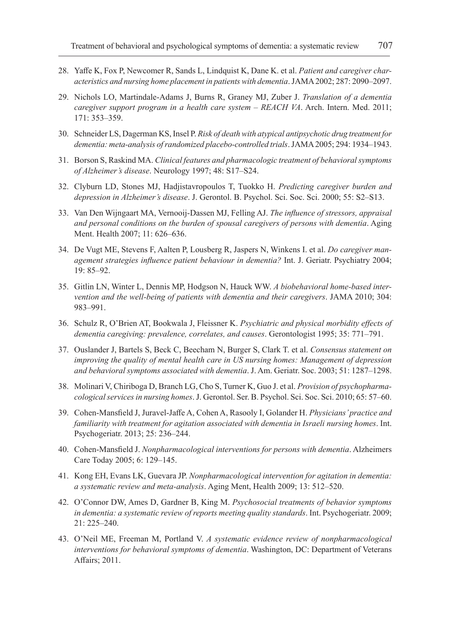- 28. Yaffe K, Fox P, Newcomer R, Sands L, Lindquist K, Dane K. et al. *Patient and caregiver characteristics and nursing home placement in patients with dementia*. JAMA 2002; 287: 2090–2097.
- 29. Nichols LO, Martindale-Adams J, Burns R, Graney MJ, Zuber J. *Translation of a dementia caregiver support program in a health care system – REACH VA*. Arch. Intern. Med. 2011; 171: 353–359.
- 30. Schneider LS, Dagerman KS, Insel P. *Risk of death with atypical antipsychotic drug treatment for dementia: meta-analysis of randomized placebo-controlled trials*. JAMA 2005; 294: 1934–1943.
- 31. Borson S, Raskind MA. *Clinical features and pharmacologic treatment of behavioral symptoms of Alzheimer's disease*. Neurology 1997; 48: S17–S24.
- 32. Clyburn LD, Stones MJ, Hadjistavropoulos T, Tuokko H. *Predicting caregiver burden and depression in Alzheimer's disease*. J. Gerontol. B. Psychol. Sci. Soc. Sci. 2000; 55: S2–S13.
- 33. Van Den Wijngaart MA, Vernooij-Dassen MJ, Felling AJ. *The influence of stressors, appraisal and personal conditions on the burden of spousal caregivers of persons with dementia*. Aging Ment. Health 2007; 11: 626–636.
- 34. De Vugt ME, Stevens F, Aalten P, Lousberg R, Jaspers N, Winkens I. et al. *Do caregiver management strategies influence patient behaviour in dementia?* Int. J. Geriatr. Psychiatry 2004; 19: 85–92.
- 35. Gitlin LN, Winter L, Dennis MP, Hodgson N, Hauck WW. *A biobehavioral home-based intervention and the well-being of patients with dementia and their caregivers*. JAMA 2010; 304: 983–991.
- 36. Schulz R, O'Brien AT, Bookwala J, Fleissner K. *Psychiatric and physical morbidity effects of dementia caregiving: prevalence, correlates, and causes*. Gerontologist 1995; 35: 771–791.
- 37. Ouslander J, Bartels S, Beck C, Beecham N, Burger S, Clark T. et al. *Consensus statement on improving the quality of mental health care in US nursing homes: Management of depression and behavioral symptoms associated with dementia*. J. Am. Geriatr. Soc. 2003; 51: 1287–1298.
- 38. Molinari V, Chiriboga D, Branch LG, Cho S, Turner K, Guo J. et al. *Provision of psychopharmacological services in nursing homes*. J. Gerontol. Ser. B. Psychol. Sci. Soc. Sci. 2010; 65: 57–60.
- 39. Cohen-Mansfield J, Juravel-Jaffe A, Cohen A, Rasooly I, Golander H. *Physicians' practice and familiarity with treatment for agitation associated with dementia in Israeli nursing homes*. Int. Psychogeriatr. 2013; 25: 236–244.
- 40. Cohen-Mansfield J. *Nonpharmacological interventions for persons with dementia*. Alzheimers Care Today 2005; 6: 129–145.
- 41. Kong EH, Evans LK, Guevara JP. *Nonpharmacological intervention for agitation in dementia: a systematic review and meta-analysis*. Aging Ment, Health 2009; 13: 512–520.
- 42. O'Connor DW, Ames D, Gardner B, King M. *Psychosocial treatments of behavior symptoms in dementia: a systematic review of reports meeting quality standards*. Int. Psychogeriatr. 2009; 21: 225–240.
- 43. O'Neil ME, Freeman M, Portland V. *A systematic evidence review of nonpharmacological interventions for behavioral symptoms of dementia*. Washington, DC: Department of Veterans Affairs; 2011.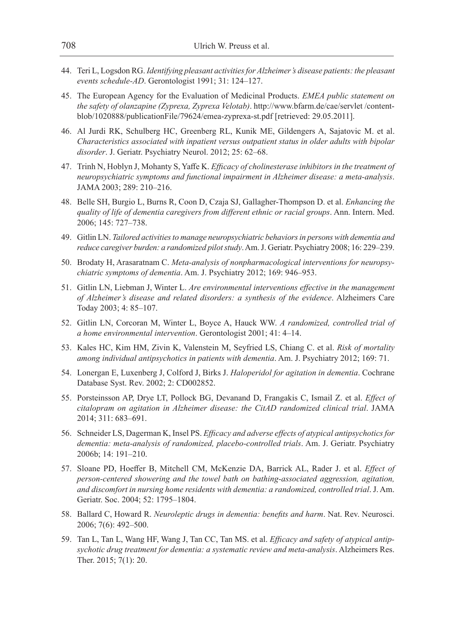- 44. Teri L, Logsdon RG. *Identifying pleasant activities for Alzheimer's disease patients: the pleasant events schedule-AD*. Gerontologist 1991; 31: 124–127.
- 45. The European Agency for the Evaluation of Medicinal Products. *EMEA public statement on the safety of olanzapine (Zyprexa, Zyprexa Velotab)*. http://www.bfarm.de/cae/servlet /contentblob/1020888/publicationFile/79624/emea-zyprexa-st.pdf [retrieved: 29.05.2011].
- 46. Al Jurdi RK, Schulberg HC, Greenberg RL, Kunik ME, Gildengers A, Sajatovic M. et al. *Characteristics associated with inpatient versus outpatient status in older adults with bipolar disorder*. J. Geriatr. Psychiatry Neurol. 2012; 25: 62–68.
- 47. Trinh N, Hoblyn J, Mohanty S, Yaffe K. *Efficacy of cholinesterase inhibitors in the treatment of neuropsychiatric symptoms and functional impairment in Alzheimer disease: a meta-analysis*. JAMA 2003; 289: 210–216.
- 48. Belle SH, Burgio L, Burns R, Coon D, Czaja SJ, Gallagher-Thompson D. et al. *Enhancing the quality of life of dementia caregivers from different ethnic or racial groups*. Ann. Intern. Med. 2006; 145: 727–738.
- 49. Gitlin LN. *Tailored activities to manage neuropsychiatric behaviors in persons with dementia and reduce caregiver burden: a randomized pilot study*. Am. J. Geriatr. Psychiatry 2008; 16: 229–239.
- 50. Brodaty H, Arasaratnam C. *Meta-analysis of nonpharmacological interventions for neuropsychiatric symptoms of dementia*. Am. J. Psychiatry 2012; 169: 946–953.
- 51. Gitlin LN, Liebman J, Winter L. *Are environmental interventions effective in the management of Alzheimer's disease and related disorders: a synthesis of the evidence*. Alzheimers Care Today 2003; 4: 85–107.
- 52. Gitlin LN, Corcoran M, Winter L, Boyce A, Hauck WW. *A randomized, controlled trial of a home environmental intervention*. Gerontologist 2001; 41: 4–14.
- 53. Kales HC, Kim HM, Zivin K, Valenstein M, Seyfried LS, Chiang C. et al. *Risk of mortality among individual antipsychotics in patients with dementia*. Am. J. Psychiatry 2012; 169: 71.
- 54. Lonergan E, Luxenberg J, Colford J, Birks J. *Haloperidol for agitation in dementia*. Cochrane Database Syst. Rev. 2002; 2: CD002852.
- 55. Porsteinsson AP, Drye LT, Pollock BG, Devanand D, Frangakis C, Ismail Z. et al. *Effect of citalopram on agitation in Alzheimer disease: the CitAD randomized clinical trial*. JAMA 2014; 311: 683–691.
- 56. Schneider LS, Dagerman K, Insel PS. *Efficacy and adverse effects of atypical antipsychotics for dementia: meta-analysis of randomized, placebo-controlled trials*. Am. J. Geriatr. Psychiatry 2006b; 14: 191–210.
- 57. Sloane PD, Hoeffer B, Mitchell CM, McKenzie DA, Barrick AL, Rader J. et al. *Effect of person-centered showering and the towel bath on bathing-associated aggression, agitation, and discomfort in nursing home residents with dementia: a randomized, controlled trial*. J. Am. Geriatr. Soc. 2004; 52: 1795–1804.
- 58. Ballard C, Howard R. *Neuroleptic drugs in dementia: benefits and harm*. Nat. Rev. Neurosci. 2006; 7(6): 492–500.
- 59. Tan L, Tan L, Wang HF, Wang J, Tan CC, Tan MS. et al. *Efficacy and safety of atypical antipsychotic drug treatment for dementia: a systematic review and meta-analysis*. Alzheimers Res. Ther. 2015; 7(1): 20.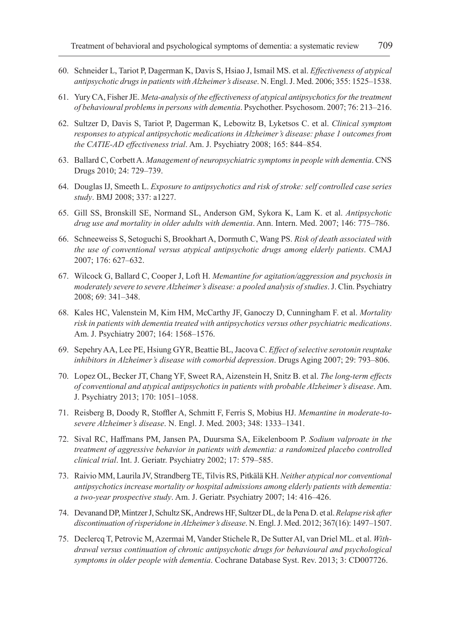- 60. Schneider L, Tariot P, Dagerman K, Davis S, Hsiao J, Ismail MS. et al. *Effectiveness of atypical antipsychotic drugs in patients with Alzheimer's disease*. N. Engl. J. Med. 2006; 355: 1525–1538.
- 61. Yury CA, Fisher JE. *Meta-analysis of the effectiveness of atypical antipsychotics for the treatment of behavioural problems in persons with dementia*. Psychother. Psychosom. 2007; 76: 213–216.
- 62. Sultzer D, Davis S, Tariot P, Dagerman K, Lebowitz B, Lyketsos C. et al. *Clinical symptom responses to atypical antipsychotic medications in Alzheimer's disease: phase 1 outcomes from the CATIE-AD effectiveness trial*. Am. J. Psychiatry 2008; 165: 844–854.
- 63. Ballard C, Corbett A. *Management of neuropsychiatric symptoms in people with dementia*. CNS Drugs 2010; 24: 729–739.
- 64. Douglas IJ, Smeeth L. *Exposure to antipsychotics and risk of stroke: self controlled case series study*. BMJ 2008; 337: a1227.
- 65. Gill SS, Bronskill SE, Normand SL, Anderson GM, Sykora K, Lam K. et al. *Antipsychotic drug use and mortality in older adults with dementia*. Ann. Intern. Med. 2007; 146: 775–786.
- 66. Schneeweiss S, Setoguchi S, Brookhart A, Dormuth C, Wang PS. *Risk of death associated with the use of conventional versus atypical antipsychotic drugs among elderly patients*. CMAJ 2007; 176: 627–632.
- 67. Wilcock G, Ballard C, Cooper J, Loft H. *Memantine for agitation/aggression and psychosis in moderately severe to severe Alzheimer's disease: a pooled analysis of studies*. J. Clin. Psychiatry 2008; 69: 341–348.
- 68. Kales HC, Valenstein M, Kim HM, McCarthy JF, Ganoczy D, Cunningham F. et al. *Mortality risk in patients with dementia treated with antipsychotics versus other psychiatric medications*. Am. J. Psychiatry 2007; 164: 1568–1576.
- 69. Sepehry AA, Lee PE, Hsiung GYR, Beattie BL, Jacova C. *Effect of selective serotonin reuptake inhibitors in Alzheimer's disease with comorbid depression*. Drugs Aging 2007; 29: 793–806.
- 70. Lopez OL, Becker JT, Chang YF, Sweet RA, Aizenstein H, Snitz B. et al. *The long-term effects of conventional and atypical antipsychotics in patients with probable Alzheimer's disease*. Am. J. Psychiatry 2013; 170: 1051–1058.
- 71. Reisberg B, Doody R, Stoffler A, Schmitt F, Ferris S, Mobius HJ. *Memantine in moderate-tosevere Alzheimer's disease*. N. Engl. J. Med. 2003; 348: 1333–1341.
- 72. Sival RC, Haffmans PM, Jansen PA, Duursma SA, Eikelenboom P. *Sodium valproate in the treatment of aggressive behavior in patients with dementia: a randomized placebo controlled clinical trial*. Int. J. Geriatr. Psychiatry 2002; 17: 579–585.
- 73. Raivio MM, Laurila JV, Strandberg TE, Tilvis RS, Pitkälä KH. *Neither atypical nor conventional antipsychotics increase mortality or hospital admissions among elderly patients with dementia: a two-year prospective study*. Am. J. Geriatr. Psychiatry 2007; 14: 416–426.
- 74. Devanand DP, Mintzer J, Schultz SK, Andrews HF, Sultzer DL, de la Pena D. et al. *Relapse risk after discontinuation of risperidone in Alzheimer's disease*. N. Engl. J. Med. 2012; 367(16): 1497–1507.
- 75. Declercq T, Petrovic M, Azermai M, Vander Stichele R, De Sutter AI, van Driel ML. et al. *Withdrawal versus continuation of chronic antipsychotic drugs for behavioural and psychological symptoms in older people with dementia*. Cochrane Database Syst. Rev. 2013; 3: CD007726.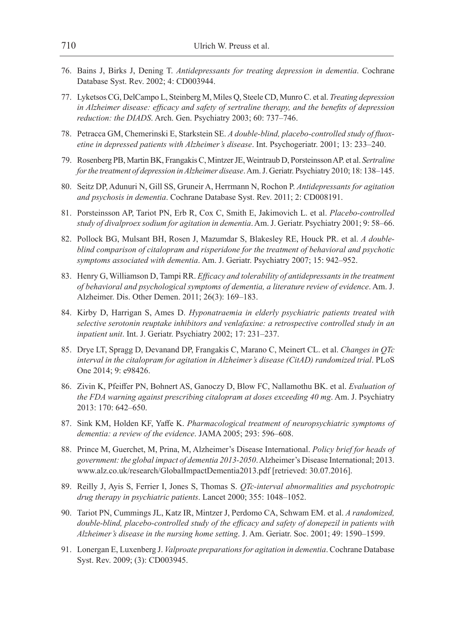- 76. Bains J, Birks J, Dening T. *Antidepressants for treating depression in dementia*. Cochrane Database Syst. Rev. 2002; 4: CD003944.
- 77. Lyketsos CG, DelCampo L, Steinberg M, Miles Q, Steele CD, Munro C. et al. *Treating depression in Alzheimer disease: efficacy and safety of sertraline therapy, and the benefits of depression reduction: the DIADS*. Arch. Gen. Psychiatry 2003; 60: 737–746.
- 78. Petracca GM, Chemerinski E, Starkstein SE. *A double-blind, placebo-controlled study of fluoxetine in depressed patients with Alzheimer's disease*. Int. Psychogeriatr. 2001; 13: 233–240.
- 79. Rosenberg PB, Martin BK, Frangakis C, Mintzer JE, Weintraub D, Porsteinsson AP. et al. *Sertraline for the treatment of depression in Alzheimer disease*. Am. J. Geriatr. Psychiatry 2010; 18: 138–145.
- 80. Seitz DP, Adunuri N, Gill SS, Gruneir A, Herrmann N, Rochon P. *Antidepressants for agitation and psychosis in dementia*. Cochrane Database Syst. Rev. 2011; 2: CD008191.
- 81. Porsteinsson AP, Tariot PN, Erb R, Cox C, Smith E, Jakimovich L. et al. *Placebo-controlled study of divalproex sodium for agitation in dementia*. Am. J. Geriatr. Psychiatry 2001; 9: 58–66.
- 82. Pollock BG, Mulsant BH, Rosen J, Mazumdar S, Blakesley RE, Houck PR. et al. *A doubleblind comparison of citalopram and risperidone for the treatment of behavioral and psychotic symptoms associated with dementia*. Am. J. Geriatr. Psychiatry 2007; 15: 942–952.
- 83. Henry G, Williamson D, Tampi RR. *Efficacy and tolerability of antidepressants in the treatment of behavioral and psychological symptoms of dementia, a literature review of evidence*. Am. J. Alzheimer. Dis. Other Demen. 2011; 26(3): 169–183.
- 84. Kirby D, Harrigan S, Ames D. *Hyponatraemia in elderly psychiatric patients treated with selective serotonin reuptake inhibitors and venlafaxine: a retrospective controlled study in an inpatient unit*. Int. J. Geriatr. Psychiatry 2002; 17: 231–237.
- 85. Drye LT, Spragg D, Devanand DP, Frangakis C, Marano C, Meinert CL. et al. *Changes in QTc interval in the citalopram for agitation in Alzheimer's disease (CitAD) randomized trial*. PLoS One 2014; 9: e98426.
- 86. Zivin K, Pfeiffer PN, Bohnert AS, Ganoczy D, Blow FC, Nallamothu BK. et al. *Evaluation of the FDA warning against prescribing citalopram at doses exceeding 40 mg*. Am. J. Psychiatry 2013: 170: 642–650.
- 87. Sink KM, Holden KF, Yaffe K. *Pharmacological treatment of neuropsychiatric symptoms of dementia: a review of the evidence*. JAMA 2005; 293: 596–608.
- 88. Prince M, Guerchet, M, Prina, M, Alzheimer's Disease International. *Policy brief for heads of government: the global impact of dementia 2013-2050*. Alzheimer's Disease International; 2013. www.alz.co.uk/research/GlobalImpactDementia2013.pdf [retrieved: 30.07.2016].
- 89. Reilly J, Ayis S, Ferrier I, Jones S, Thomas S. *QTc-interval abnormalities and psychotropic drug therapy in psychiatric patients*. Lancet 2000; 355: 1048–1052.
- 90. Tariot PN, Cummings JL, Katz IR, Mintzer J, Perdomo CA, Schwam EM. et al. *A randomized, double-blind, placebo-controlled study of the efficacy and safety of donepezil in patients with Alzheimer's disease in the nursing home setting*. J. Am. Geriatr. Soc. 2001; 49: 1590–1599.
- 91. Lonergan E, Luxenberg J. *Valproate preparations for agitation in dementia*. Cochrane Database Syst. Rev. 2009; (3): CD003945.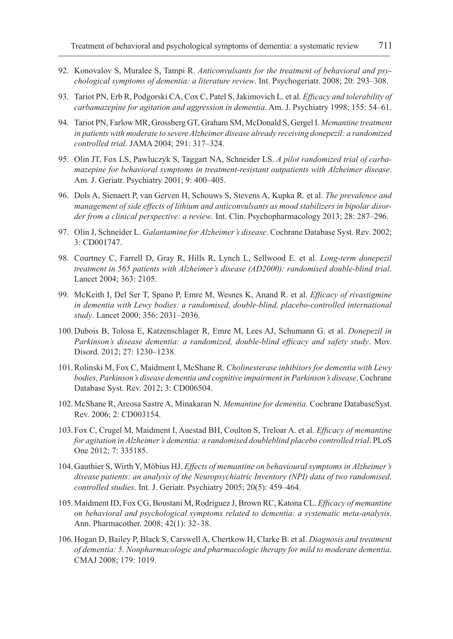- 92. Konovalov S, Muralee S, Tampi R. *Anticonvulsants for the treatment of behavioral and psychological symptoms of dementia: a literature review*. Int. Psychogeriatr. 2008; 20: 293–308.
- 93. Tariot PN, Erb R, Podgorski CA, Cox C, Patel S, Jakimovich L. et al. *Efficacy and tolerability of carbamazepine for agitation and aggression in dementia*. Am. J. Psychiatry 1998; 155: 54–61.
- 94. Tariot PN, Farlow MR, Grossberg GT, Graham SM, McDonald S, Gergel I. *Memantine treatment in patients with moderate to severe Alzheimer disease already receiving donepezil: a randomized controlled trial*. JAMA 2004; 291: 317–324.
- 95. Olin JT, Fox LS, Pawluczyk S, Taggart NA, Schneider LS. *A pilot randomized trial of carbamazepine for behavioral symptoms in treatment-resistant outpatients with Alzheimer disease*. Am. J. Geriatr. Psychiatry 2001; 9: 400–405.
- 96. Dols A, Sienaert P, van Gerven H, Schouws S, Stevens A, Kupka R. et al. *The prevalence and management of side effects of lithium and anticonvulsants as mood stabilizers in bipolar disorder from a clinical perspective: a review*. Int. Clin. Psychopharmacology 2013; 28: 287–296.
- 97. Olin J, Schneider L. *Galantamine for Alzheimer's disease*. Cochrane Database Syst. Rev. 2002; 3: CD001747.
- 98. Courtney C, Farrell D, Gray R, Hills R, Lynch L, Sellwood E. et al. *Long-term donepezil treatment in 565 patients with Alzheimer's disease (AD2000): randomised double-blind trial*. Lancet 2004; 363: 2105.
- 99. McKeith I, Del Ser T, Spano P, Emre M, Wesnes K, Anand R. et al. *Efficacy of rivastigmine in dementia with Lewy bodies: a randomised, double-blind, placebo-controlled international study*. Lancet 2000; 356: 2031–2036.
- 100.Dubois B, Tolosa E, Katzenschlager R, Emre M, Lees AJ, Schumann G. et al. *Donepezil in Parkinson's disease dementia: a randomized, double-blind efficacy and safety study*. Mov. Disord. 2012; 27: 1230–1238.
- 101.Rolinski M, Fox C, Maidment I, McShane R. *Cholinesterase inhibitors for dementia with Lewy bodies, Parkinson's disease dementia and cognitive impairment in Parkinson's disease*. Cochrane Database Syst. Rev. 2012; 3: CD006504.
- 102.McShane R, Areosa Sastre A, Minakaran N. *Memantine for dementia*. Cochrane DatabaseSyst. Rev. 2006; 2: CD003154.
- 103. Fox C, Crugel M, Maidment I, Auestad BH, Coulton S, Treloar A. et al. *Efficacy of memantine for agitation in Alzheimer's dementia: a randomised doubleblind placebo controlled trial*. PLoS One 2012; 7: 335185.
- 104.Gauthier S, Wirth Y, Möbius HJ. *Effects of memantine on behavioural symptoms in Alzheimer's disease patients: an analysis of the Neuropsychiatric Inventory (NPI) data of two randomised, controlled studies*. Int. J. Geriatr. Psychiatry 2005; 20(5): 459–464.
- 105.Maidment ID, Fox CG, Boustani M, Rodriguez J, Brown RC, Katona CL. *Efficacy of memantine on behavioral and psychological symptoms related to dementia: a systematic meta-analysis*. Ann. Pharmacother. 2008; 42(1): 32–38.
- 106.Hogan D, Bailey P, Black S, Carswell A, Chertkow H, Clarke B. et al. *Diagnosis and treatment of dementia: 5. Nonpharmacologic and pharmacologic therapy for mild to moderate dementia*. CMAJ 2008; 179: 1019.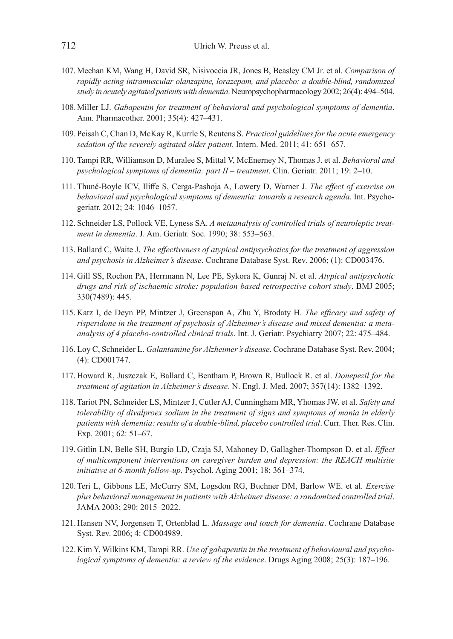- 107. Meehan KM, Wang H, David SR, Nisivoccia JR, Jones B, Beasley CM Jr. et al. *Comparison of rapidly acting intramuscular olanzapine, lorazepam, and placebo: a double-blind, randomized study in acutely agitated patients with dementia*. Neuropsychopharmacology 2002; 26(4): 494–504.
- 108.Miller LJ. *Gabapentin for treatment of behavioral and psychological symptoms of dementia*. Ann. Pharmacother. 2001; 35(4): 427–431.
- 109. Peisah C, Chan D, McKay R, Kurrle S, Reutens S. *Practical guidelines for the acute emergency sedation of the severely agitated older patient*. Intern. Med. 2011; 41: 651–657.
- 110. Tampi RR, Williamson D, Muralee S, Mittal V, McEnerney N, Thomas J. et al. *Behavioral and psychological symptoms of dementia: part II – treatment*. Clin. Geriatr. 2011; 19: 2–10.
- 111. Thuné-Boyle ICV, Iliffe S, Cerga-Pashoja A, Lowery D, Warner J. *The effect of exercise on behavioral and psychological symptoms of dementia: towards a research agenda*. Int. Psychogeriatr. 2012; 24: 1046–1057.
- 112. Schneider LS, Pollock VE, Lyness SA. *A metaanalysis of controlled trials of neuroleptic treatment in dementia*. J. Am. Geriatr. Soc. 1990; 38: 553–563.
- 113. Ballard C, Waite J. *The effectiveness of atypical antipsychotics for the treatment of aggression and psychosis in Alzheimer's disease*. Cochrane Database Syst. Rev. 2006; (1): CD003476.
- 114. Gill SS, Rochon PA, Herrmann N, Lee PE, Sykora K, Gunraj N. et al. *Atypical antipsychotic drugs and risk of ischaemic stroke: population based retrospective cohort study*. BMJ 2005; 330(7489): 445.
- 115. Katz I, de Deyn PP, Mintzer J, Greenspan A, Zhu Y, Brodaty H. *The efficacy and safety of risperidone in the treatment of psychosis of Alzheimer's disease and mixed dementia: a metaanalysis of 4 placebo-controlled clinical trials*. Int. J. Geriatr. Psychiatry 2007; 22: 475–484.
- 116. Loy C, Schneider L. *Galantamine for Alzheimer's disease*. Cochrane Database Syst. Rev. 2004; (4): CD001747.
- 117. Howard R, Juszczak E, Ballard C, Bentham P, Brown R, Bullock R. et al. *Donepezil for the treatment of agitation in Alzheimer's disease*. N. Engl. J. Med. 2007; 357(14): 1382–1392.
- 118. Tariot PN, Schneider LS, Mintzer J, Cutler AJ, Cunningham MR, Yhomas JW. et al. *Safety and tolerability of divalproex sodium in the treatment of signs and symptoms of mania in elderly patients with dementia: results of a double-blind, placebo controlled trial*. Curr. Ther. Res. Clin. Exp. 2001; 62: 51–67.
- 119. Gitlin LN, Belle SH, Burgio LD, Czaja SJ, Mahoney D, Gallagher-Thompson D. et al. *Effect of multicomponent interventions on caregiver burden and depression: the REACH multisite initiative at 6-month follow-up*. Psychol. Aging 2001; 18: 361–374.
- 120.Teri L, Gibbons LE, McCurry SM, Logsdon RG, Buchner DM, Barlow WE. et al. *Exercise plus behavioral management in patients with Alzheimer disease: a randomized controlled trial*. JAMA 2003; 290: 2015–2022.
- 121.Hansen NV, Jorgensen T, Ortenblad L. *Massage and touch for dementia*. Cochrane Database Syst. Rev. 2006; 4: CD004989.
- 122.Kim Y, Wilkins KM, Tampi RR. *Use of gabapentin in the treatment of behavioural and psychological symptoms of dementia: a review of the evidence*. Drugs Aging 2008; 25(3): 187–196.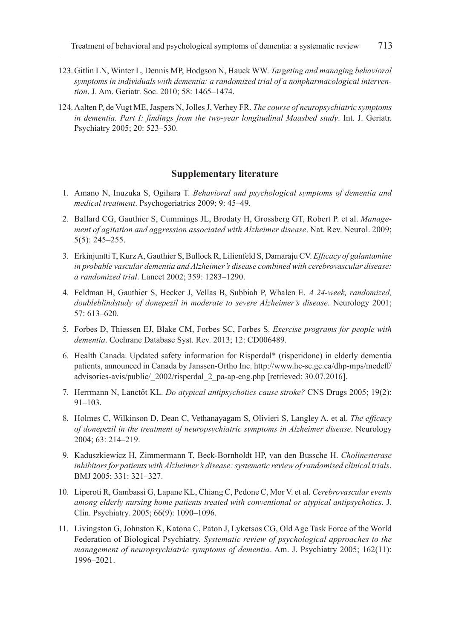- 123.Gitlin LN, Winter L, Dennis MP, Hodgson N, Hauck WW. *Targeting and managing behavioral symptoms in individuals with dementia: a randomized trial of a nonpharmacological intervention*. J. Am. Geriatr. Soc. 2010; 58: 1465–1474.
- 124.Aalten P, de Vugt ME, Jaspers N, Jolles J, Verhey FR. *The course of neuropsychiatric symptoms in dementia. Part I: findings from the two-year longitudinal Maasbed study*. Int. J. Geriatr. Psychiatry 2005; 20: 523–530.

#### **Supplementary literature**

- 1. Amano N, Inuzuka S, Ogihara T. *Behavioral and psychological symptoms of dementia and medical treatment*. Psychogeriatrics 2009; 9: 45–49.
- 2. Ballard CG, Gauthier S, Cummings JL, Brodaty H, Grossberg GT, Robert P. et al. *Management of agitation and aggression associated with Alzheimer disease*. Nat. Rev. Neurol. 2009; 5(5): 245–255.
- 3. Erkinjuntti T, Kurz A, Gauthier S, Bullock R, Lilienfeld S, Damaraju CV. *Efficacy of galantamine in probable vascular dementia and Alzheimer's disease combined with cerebrovascular disease: a randomized trial*. Lancet 2002; 359: 1283–1290.
- 4. Feldman H, Gauthier S, Hecker J, Vellas B, Subbiah P, Whalen E. *A 24-week, randomized, doubleblindstudy of donepezil in moderate to severe Alzheimer's disease*. Neurology 2001; 57: 613–620.
- 5. Forbes D, Thiessen EJ, Blake CM, Forbes SC, Forbes S. *Exercise programs for people with dementia*. Cochrane Database Syst. Rev. 2013; 12: CD006489.
- 6. Health Canada. Updated safety information for Risperdal\* (risperidone) in elderly dementia patients, announced in Canada by Janssen-Ortho Inc. http://www.hc-sc.gc.ca/dhp-mps/medeff/ advisories-avis/public/\_2002/risperdal\_2\_pa-ap-eng.php [retrieved: 30.07.2016].
- 7. Herrmann N, Lanctôt KL. *Do atypical antipsychotics cause stroke?* CNS Drugs 2005; 19(2): 91–103.
- 8. Holmes C, Wilkinson D, Dean C, Vethanayagam S, Olivieri S, Langley A. et al. *The efficacy of donepezil in the treatment of neuropsychiatric symptoms in Alzheimer disease*. Neurology 2004; 63: 214–219.
- 9. Kaduszkiewicz H, Zimmermann T, Beck-Bornholdt HP, van den Bussche H. *Cholinesterase inhibitors for patients with Alzheimer's disease: systematic review of randomised clinical trials*. BMJ 2005; 331: 321–327.
- 10. Liperoti R, Gambassi G, Lapane KL, Chiang C, Pedone C, Mor V. et al. *Cerebrovascular events among elderly nursing home patients treated with conventional or atypical antipsychotics*. J. Clin. Psychiatry. 2005; 66(9): 1090–1096.
- 11. Livingston G, Johnston K, Katona C, Paton J, Lyketsos CG, Old Age Task Force of the World Federation of Biological Psychiatry. *Systematic review of psychological approaches to the management of neuropsychiatric symptoms of dementia*. Am. J. Psychiatry 2005; 162(11): 1996–2021.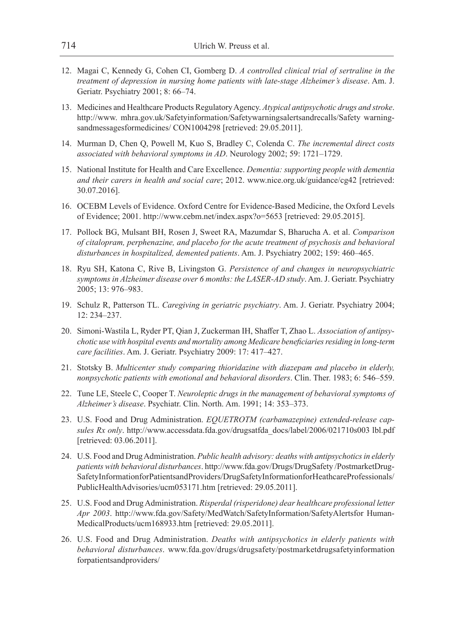- 12. Magai C, Kennedy G, Cohen CI, Gomberg D. *A controlled clinical trial of sertraline in the treatment of depression in nursing home patients with late-stage Alzheimer's disease*. Am. J. Geriatr. Psychiatry 2001; 8: 66–74.
- 13. Medicines and Healthcare Products Regulatory Agency. *Atypical antipsychotic drugs and stroke*. http://www. mhra.gov.uk/Safetyinformation/Safetywarningsalertsandrecalls/Safety warningsandmessagesformedicines/ CON1004298 [retrieved: 29.05.2011].
- 14. Murman D, Chen Q, Powell M, Kuo S, Bradley C, Colenda C. *The incremental direct costs associated with behavioral symptoms in AD*. Neurology 2002; 59: 1721–1729.
- 15. National Institute for Health and Care Excellence. *Dementia: supporting people with dementia and their carers in health and social care*; 2012. www.nice.org.uk/guidance/cg42 [retrieved: 30.07.2016].
- 16. OCEBM Levels of Evidence. Oxford Centre for Evidence-Based Medicine, the Oxford Levels of Evidence; 2001. http://www.cebm.net/index.aspx?o=5653 [retrieved: 29.05.2015].
- 17. Pollock BG, Mulsant BH, Rosen J, Sweet RA, Mazumdar S, Bharucha A. et al. *Comparison of citalopram, perphenazine, and placebo for the acute treatment of psychosis and behavioral disturbances in hospitalized, demented patients*. Am. J. Psychiatry 2002; 159: 460–465.
- 18. Ryu SH, Katona C, Rive B, Livingston G. *Persistence of and changes in neuropsychiatric symptoms in Alzheimer disease over 6 months: the LASER-AD study*. Am. J. Geriatr. Psychiatry 2005; 13: 976–983.
- 19. Schulz R, Patterson TL. *Caregiving in geriatric psychiatry*. Am. J. Geriatr. Psychiatry 2004; 12: 234–237.
- 20. Simoni-Wastila L, Ryder PT, Qian J, Zuckerman IH, Shaffer T, Zhao L. *Association of antipsychotic use with hospital events and mortality among Medicare beneficiaries residing in long-term care facilities*. Am. J. Geriatr. Psychiatry 2009: 17: 417–427.
- 21. Stotsky B. *Multicenter study comparing thioridazine with diazepam and placebo in elderly, nonpsychotic patients with emotional and behavioral disorders*. Clin. Ther. 1983; 6: 546–559.
- 22. Tune LE, Steele C, Cooper T. *Neuroleptic drugs in the management of behavioral symptoms of Alzheimer's disease*. Psychiatr. Clin. North. Am. 1991; 14: 353–373.
- 23. U.S. Food and Drug Administration. *EQUETROTM (carbamazepine) extended-release capsules Rx only*. http://www.accessdata.fda.gov/drugsatfda\_docs/label/2006/021710s003 lbl.pdf [retrieved: 03.06.2011].
- 24. U.S. Food and Drug Administration. *Public health advisory: deaths with antipsychotics in elderly patients with behavioral disturbances*. http://www.fda.gov/Drugs/DrugSafety /PostmarketDrug-SafetyInformationforPatientsandProviders/DrugSafetyInformationforHeathcareProfessionals/ PublicHealthAdvisories/ucm053171.htm [retrieved: 29.05.2011].
- 25. U.S. Food and Drug Administration. *Risperdal (risperidone) dear healthcare professional letter Apr 2003*. http://www.fda.gov/Safety/MedWatch/SafetyInformation/SafetyAlertsfor Human-MedicalProducts/ucm168933.htm [retrieved: 29.05.2011].
- 26. U.S. Food and Drug Administration. *Deaths with antipsychotics in elderly patients with behavioral disturbances*. www.fda.gov/drugs/drugsafety/postmarketdrugsafetyinformation forpatientsandproviders/